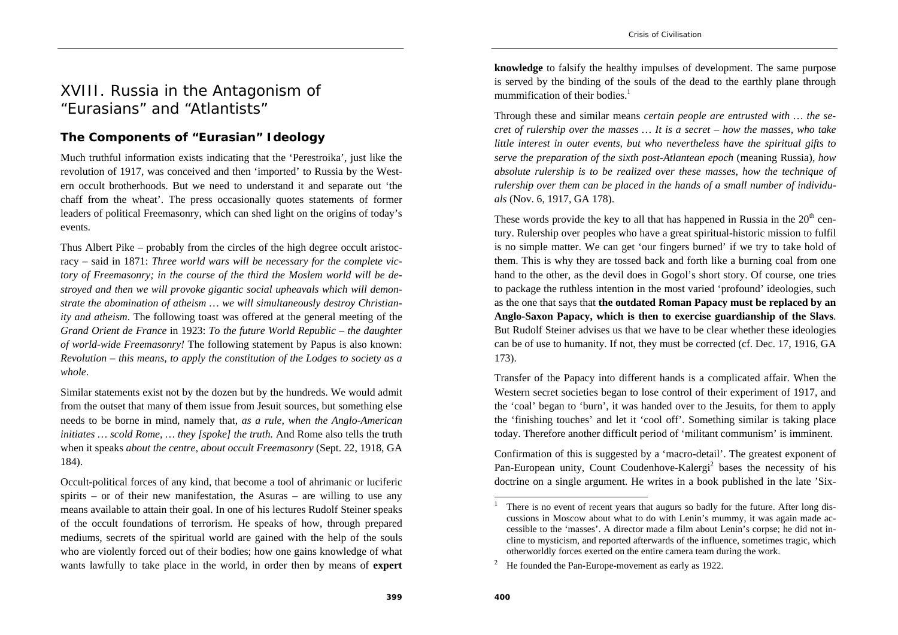# XVIII. Russia in the Antagonism of "Eurasians" and "Atlantists"

## **The Components of "Eurasian" Ideology**

Much truthful information exists indicating that the 'Perestroika', just like the revolution of 1917, was conceived and then 'imported' to Russia by the Western occult brotherhoods. But we need to understand it and separate out 'the chaff from the wheat'. The press occasionally quotes statements of former leaders of political Freemasonry, which can shed light on the origins of today's events.

Thus Albert Pike – probably from the circles of the high degree occult aristocracy – said in 1871: *Three world wars will be necessary for the complete victory of Freemasonry; in the course of the third the Moslem world will be destroyed and then we will provoke gigantic social upheavals which will demonstrate the abomination of atheism … we will simultaneously destroy Christianity and atheism*. The following toast was offered at the general meeting of the *Grand Orient de France* in 1923: *To the future World Republic – the daughter of world-wide Freemasonry!* The following statement by Papus is also known: *Revolution – this means, to apply the constitution of the Lodges to society as a whole*.

Similar statements exist not by the dozen but by the hundreds. We would admit from the outset that many of them issue from Jesuit sources, but something else needs to be borne in mind, namely that, *as a rule, when the Anglo-American initiates … scold Rome, … they [spoke] the truth.* And Rome also tells the truth when it speaks *about the centre, about occult Freemasonry* (Sept. 22, 1918, GA 184).

Occult-political forces of any kind, that become a tool of ahrimanic or luciferic spirits – or of their new manifestation, the Asuras – are willing to use any means available to attain their goal. In one of his lectures Rudolf Steiner speaks of the occult foundations of terrorism. He speaks of how, through prepared mediums, secrets of the spiritual world are gained with the help of the souls who are violently forced out of their bodies; how one gains knowledge of what wants lawfully to take place in the world, in order then by means of **expert** 

**knowledge** to falsify the healthy impulses of development. The same purpose is served by the binding of the souls of the dead to the earthly plane through mummification of their bodies. $<sup>1</sup>$ </sup>

Through these and similar means *certain people are entrusted with … the secret of rulership over the masses … It is a secret – how the masses, who take little interest in outer events, but who nevertheless have the spiritual gifts to serve the preparation of the sixth post-Atlantean epoch* (meaning Russia), *how absolute rulership is to be realized over these masses, how the technique of rulership over them can be placed in the hands of a small number of individuals* (Nov. 6, 1917, GA 178).

These words provide the key to all that has happened in Russia in the  $20<sup>th</sup>$  century. Rulership over peoples who have a great spiritual-historic mission to fulfil is no simple matter. We can get 'our fingers burned' if we try to take hold of them. This is why they are tossed back and forth like a burning coal from one hand to the other, as the devil does in Gogol's short story. Of course, one tries to package the ruthless intention in the most varied 'profound' ideologies, such as the one that says that **the outdated Roman Papacy must be replaced by an Anglo-Saxon Papacy, which is then to exercise guardianship of the Slavs**. But Rudolf Steiner advises us that we have to be clear whether these ideologies can be of use to humanity. If not, they must be corrected (cf. Dec. 17, 1916, GA 173).

Transfer of the Papacy into different hands is a complicated affair. When the Western secret societies began to lose control of their experiment of 1917, and the 'coal' began to 'burn', it was handed over to the Jesuits, for them to apply the 'finishing touches' and let it 'cool off'. Something similar is taking place today. Therefore another difficult period of 'militant communism' is imminent.

Confirmation of this is suggested by a 'macro-detail'. The greatest exponent of Pan-European unity, Count Coudenhove-Kalergi<sup>2</sup> bases the necessity of his doctrine on a single argument. He writes in a book published in the late 'Six-

<sup>1</sup> There is no event of recent years that augurs so badly for the future. After long discussions in Moscow about what to do with Lenin's mummy, it was again made accessible to the 'masses'. A director made a film about Lenin's corpse; he did not incline to mysticism, and reported afterwards of the influence, sometimes tragic, which otherworldly forces exerted on the entire camera team during the work.

<sup>&</sup>lt;sup>2</sup> He founded the Pan-Europe-movement as early as 1922.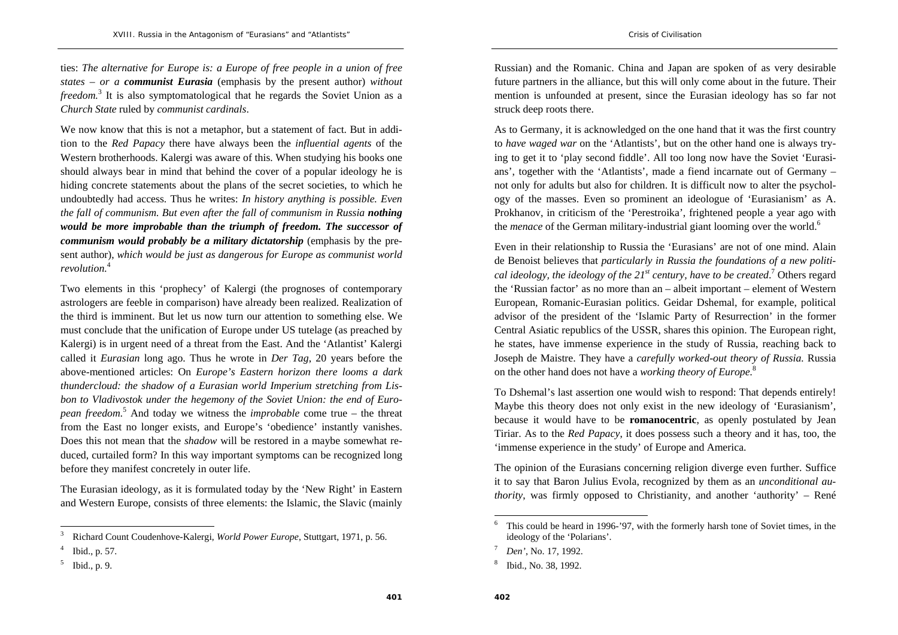ties: *The alternative for Europe is: a Europe of free people in a union of free states – or a communist Eurasia* (emphasis by the present author) *without freedom*.<sup>3</sup> It is also symptomatological that he regards the Soviet Union as a *Church State* ruled by *communist cardinals*.

We now know that this is not a metaphor, but a statement of fact. But in addition to the *Red Papacy* there have always been the *influential agents* of the Western brotherhoods. Kalergi was aware of this. When studying his books one should always bear in mind that behind the cover of a popular ideology he is hiding concrete statements about the plans of the secret societies, to which he undoubtedly had access. Thus he writes: *In history anything is possible. Even the fall of communism. But even after the fall of communism in Russia nothing would be more improbable than the triumph of freedom. The successor of communism would probably be a military dictatorship (emphasis by the pre*sent author), *which would be just as dangerous for Europe as communist world revolution.*<sup>4</sup>

Two elements in this 'prophecy' of Kalergi (the prognoses of contemporary astrologers are feeble in comparison) have already been realized. Realization of the third is imminent. But let us now turn our attention to something else. We must conclude that the unification of Europe under US tutelage (as preached by Kalergi) is in urgent need of a threat from the East. And the 'Atlantist' Kalergi called it *Eurasian* long ago. Thus he wrote in *Der Tag*, 20 years before the above-mentioned articles: On *Europe's Eastern horizon there looms a dark thundercloud: the shadow of a Eurasian world Imperium stretching from Lisbon to Vladivostok under the hegemony of the Soviet Union: the end of European freedom.*5 And today we witness the *improbable* come true – the threat from the East no longer exists, and Europe's 'obedience' instantly vanishes. Does this not mean that the *shadow* will be restored in a maybe somewhat reduced, curtailed form? In this way important symptoms can be recognized long before they manifest concretely in outer life.

The Eurasian ideology, as it is formulated today by the 'New Right' in Eastern and Western Europe, consists of three elements: the Islamic, the Slavic (mainly Russian) and the Romanic. China and Japan are spoken of as very desirable future partners in the alliance, but this will only come about in the future. Their mention is unfounded at present, since the Eurasian ideology has so far not struck deep roots there.

As to Germany, it is acknowledged on the one hand that it was the first country to *have waged war* on the 'Atlantists', but on the other hand one is always trying to get it to 'play second fiddle'. All too long now have the Soviet 'Eurasians', together with the 'Atlantists', made a fiend incarnate out of Germany – not only for adults but also for children. It is difficult now to alter the psychology of the masses. Even so prominent an ideologue of 'Eurasianism' as A. Prokhanov, in criticism of the 'Perestroika', frightened people a year ago with the *menace* of the German military-industrial giant looming over the world.<sup>6</sup>

Even in their relationship to Russia the 'Eurasians' are not of one mind. Alain de Benoist believes that *particularly in Russia the foundations of a new political ideology, the ideology of the 21st century, have to be created*.7 Others regard the 'Russian factor' as no more than an – albeit important – element of Western European, Romanic-Eurasian politics. Geidar Dshemal, for example, political advisor of the president of the 'Islamic Party of Resurrection' in the former Central Asiatic republics of the USSR, shares this opinion. The European right, he states, have immense experience in the study of Russia, reaching back to Joseph de Maistre. They have a *carefully worked-out theory of Russia.* Russia on the other hand does not have a *working theory of Europe.*<sup>8</sup>

To Dshemal's last assertion one would wish to respond: That depends entirely! Maybe this theory does not only exist in the new ideology of 'Eurasianism', because it would have to be **romanocentric**, as openly postulated by Jean Tiriar. As to the *Red Papacy*, it does possess such a theory and it has, too, the 'immense experience in the study' of Europe and America.

The opinion of the Eurasians concerning religion diverge even further. Suffice it to say that Baron Julius Evola, recognized by them as an *unconditional authority*, was firmly opposed to Christianity, and another 'authority' – René

<sup>3</sup> Richard Count Coudenhove-Kalergi, *World Power Europe*, Stuttgart, 1971, p. 56.

Ibid., p. 57.

<sup>5</sup> Ibid., p. 9.

<sup>6</sup> This could be heard in 1996-'97, with the formerly harsh tone of Soviet times, in the ideology of the 'Polarians'.

<sup>7</sup>*Den'*, No. 17, 1992.

<sup>8</sup> Ibid., No. 38, 1992.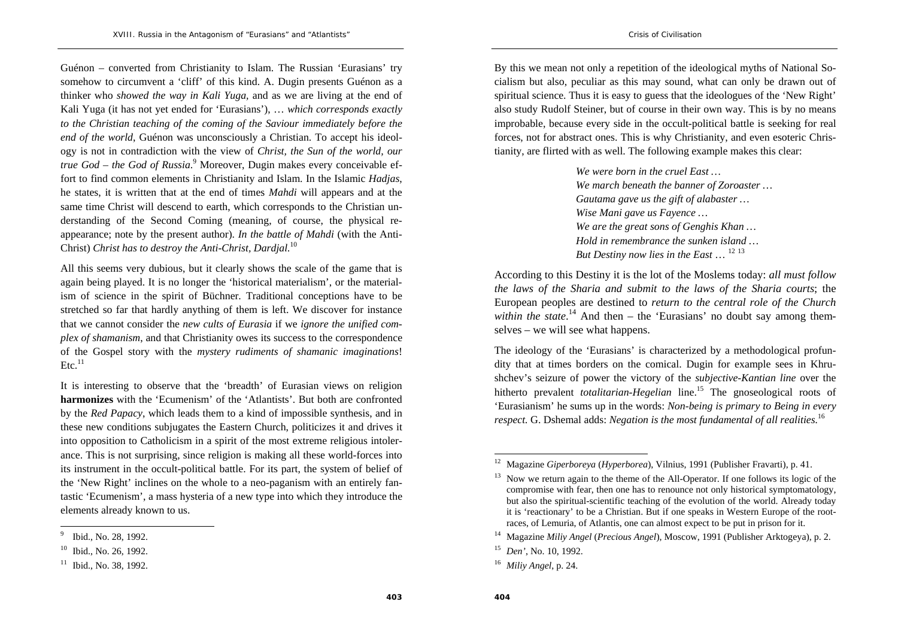Guénon – converted from Christianity to Islam. The Russian 'Eurasians' try somehow to circumvent a 'cliff' of this kind. A. Dugin presents Guénon as a thinker who *showed the way in Kali Yuga,* and as we are living at the end of Kali Yuga (it has not yet ended for 'Eurasians'), … *which corresponds exactly to the Christian teaching of the coming of the Saviour immediately before the end of the world*, Guénon was unconsciously a Christian. To accept his ideology is not in contradiction with the view of *Christ, the Sun of the world, our true God – the God of Russia*.<sup>9</sup> Moreover, Dugin makes every conceivable effort to find common elements in Christianity and Islam. In the Islamic *Hadjas*, he states, it is written that at the end of times *Mahdi* will appears and at the same time Christ will descend to earth, which corresponds to the Christian understanding of the Second Coming (meaning, of course, the physical reappearance; note by the present author). *In the battle of Mahdi* (with the Anti-Christ) *Christ has to destroy the Anti-Christ, Dardjal.*<sup>10</sup>

All this seems very dubious, but it clearly shows the scale of the game that is again being played. It is no longer the 'historical materialism', or the materialism of science in the spirit of Büchner. Traditional conceptions have to be stretched so far that hardly anything of them is left. We discover for instance that we cannot consider the *new cults of Eurasia* if we *ignore the unified complex of shamanism*, and that Christianity owes its success to the correspondence of the Gospel story with the *mystery rudiments of shamanic imaginations*!  $Etc.<sup>11</sup>$ 

It is interesting to observe that the 'breadth' of Eurasian views on religion **harmonizes** with the 'Ecumenism' of the 'Atlantists'. But both are confronted by the *Red Papacy*, which leads them to a kind of impossible synthesis, and in these new conditions subjugates the Eastern Church, politicizes it and drives it into opposition to Catholicism in a spirit of the most extreme religious intolerance. This is not surprising, since religion is making all these world-forces into its instrument in the occult-political battle. For its part, the system of belief of the 'New Right' inclines on the whole to a neo-paganism with an entirely fantastic 'Ecumenism', a mass hysteria of a new type into which they introduce the elements already known to us.

By this we mean not only a repetition of the ideological myths of National Socialism but also, peculiar as this may sound, what can only be drawn out of spiritual science. Thus it is easy to guess that the ideologues of the 'New Right' also study Rudolf Steiner, but of course in their own way. This is by no means improbable, because every side in the occult-political battle is seeking for real forces, not for abstract ones. This is why Christianity, and even esoteric Christianity, are flirted with as well. The following example makes this clear:

> *We were born in the cruel East … We march beneath the banner of Zoroaster … Gautama gave us the gift of alabaster … Wise Mani gave us Fayence … We are the great sons of Genghis Khan … Hold in remembrance the sunken island … But Destiny now lies in the East* … <sup>12</sup> <sup>13</sup>

According to this Destiny it is the lot of the Moslems today: *all must follow the laws of the Sharia and submit to the laws of the Sharia courts*; the European peoples are destined to *return to the central role of the Church within the state*.<sup>14</sup> And then – the 'Eurasians' no doubt say among themselves – we will see what happens.

The ideology of the 'Eurasians' is characterized by a methodological profundity that at times borders on the comical. Dugin for example sees in Khrushchev's seizure of power the victory of the *subjective-Kantian line* over the hitherto prevalent *totalitarian-Hegelian* line.<sup>15</sup> The gnoseological roots of 'Eurasianism' he sums up in the words: *Non-being is primary to Being in every respect.* G. Dshemal adds: *Negation is the most fundamental of all realities.*<sup>16</sup>

<sup>9</sup> Ibid., No. 28, 1992.

<sup>10</sup> Ibid., No. 26, 1992.

<sup>&</sup>lt;sup>11</sup> Ibid., No. 38, 1992.

<sup>12</sup> Magazine *Giperboreya* (*Hyperborea*), Vilnius, 1991 (Publisher Fravarti), p. 41.

 $13$  Now we return again to the theme of the All-Operator. If one follows its logic of the compromise with fear, then one has to renounce not only historical symptomatology, but also the spiritual-scientific teaching of the evolution of the world. Already today it is 'reactionary' to be a Christian. But if one speaks in Western Europe of the rootraces, of Lemuria, of Atlantis, one can almost expect to be put in prison for it.

<sup>14</sup> Magazine *Miliy Angel* (*Precious Angel*), Moscow, 1991 (Publisher Arktogeya), p. 2.

<sup>15</sup> *Den'*, No. 10, 1992.

<sup>16</sup> *Miliy Angel*, p. 24.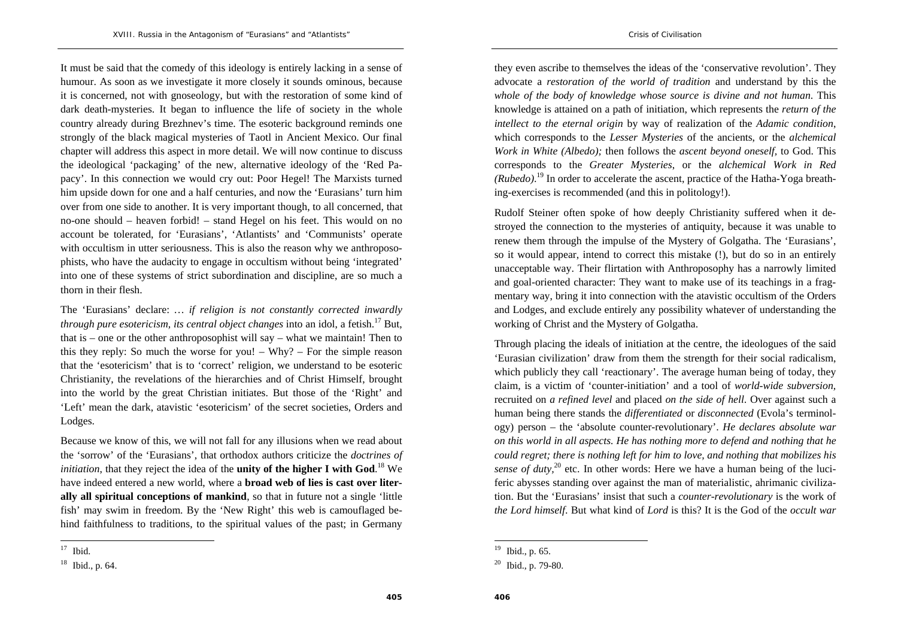It must be said that the comedy of this ideology is entirely lacking in a sense of humour. As soon as we investigate it more closely it sounds ominous, because it is concerned, not with gnoseology, but with the restoration of some kind of dark death-mysteries. It began to influence the life of society in the whole country already during Brezhnev's time. The esoteric background reminds one strongly of the black magical mysteries of Taotl in Ancient Mexico. Our final chapter will address this aspect in more detail. We will now continue to discuss the ideological 'packaging' of the new, alternative ideology of the 'Red Papacy'. In this connection we would cry out: Poor Hegel! The Marxists turned him upside down for one and a half centuries, and now the 'Eurasians' turn him over from one side to another. It is very important though, to all concerned, that no-one should – heaven forbid! – stand Hegel on his feet. This would on no account be tolerated, for 'Eurasians', 'Atlantists' and 'Communists' operate with occultism in utter seriousness. This is also the reason why we anthroposophists, who have the audacity to engage in occultism without being 'integrated' into one of these systems of strict subordination and discipline, are so much a thorn in their flesh.

The 'Eurasians' declare: *… if religion is not constantly corrected inwardly through pure esotericism, its central object changes into an idol, a fetish.*<sup>17</sup> But, that is – one or the other anthroposophist will say – what we maintain! Then to this they reply: So much the worse for you! – Why? – For the simple reason that the 'esotericism' that is to 'correct' religion, we understand to be esoteric Christianity, the revelations of the hierarchies and of Christ Himself, brought into the world by the great Christian initiates. But those of the 'Right' and 'Left' mean the dark, atavistic 'esotericism' of the secret societies, Orders and Lodges.

Because we know of this, we will not fall for any illusions when we read about the 'sorrow' of the 'Eurasians', that orthodox authors criticize the *doctrines of initiation*, that they reject the idea of the **unity of the higher I with God**.<sup>18</sup> We have indeed entered a new world, where a **broad web of lies is cast over literally all spiritual conceptions of mankind**, so that in future not a single 'little fish' may swim in freedom. By the 'New Right' this web is camouflaged behind faithfulness to traditions, to the spiritual values of the past; in Germany

they even ascribe to themselves the ideas of the 'conservative revolution'. They advocate a *restoration of the world of tradition* and understand by this the *whole of the body of knowledge whose source is divine and not human*. This knowledge is attained on a path of initiation, which represents the *return of the intellect to the eternal origin* by way of realization of the *Adamic condition*, which corresponds to the *Lesser Mysteries* of the ancients, or the *alchemical Work in White (Albedo);* then follows the *ascent beyond oneself,* to God. This corresponds to the *Greater Mysteries*, or the *alchemical Work in Red (Rubedo)*.19 In order to accelerate the ascent, practice of the Hatha-Yoga breathing-exercises is recommended (and this in politology!).

Rudolf Steiner often spoke of how deeply Christianity suffered when it destroyed the connection to the mysteries of antiquity, because it was unable to renew them through the impulse of the Mystery of Golgatha. The 'Eurasians', so it would appear, intend to correct this mistake (!), but do so in an entirely unacceptable way. Their flirtation with Anthroposophy has a narrowly limited and goal-oriented character: They want to make use of its teachings in a fragmentary way, bring it into connection with the atavistic occultism of the Orders and Lodges, and exclude entirely any possibility whatever of understanding the working of Christ and the Mystery of Golgatha.

Through placing the ideals of initiation at the centre, the ideologues of the said 'Eurasian civilization' draw from them the strength for their social radicalism, which publicly they call 'reactionary'. The average human being of today, they claim, is a victim of 'counter-initiation' and a tool of *world-wide subversion,*  recruited on *a refined level* and placed *on the side of hell*. Over against such a human being there stands the *differentiated* or *disconnected* (Evola's terminology) person – the 'absolute counter-revolutionary'. *He declares absolute war on this world in all aspects. He has nothing more to defend and nothing that he could regret; there is nothing left for him to love, and nothing that mobilizes his sense of duty*,<sup>20</sup> etc. In other words: Here we have a human being of the luciferic abysses standing over against the man of materialistic, ahrimanic civilization. But the 'Eurasians' insist that such a *counter-revolutionary* is the work of *the Lord himself*. But what kind of *Lord* is this? It is the God of the *occult war* 

 $17$  Ibid.

<sup>18</sup> Ibid., p. 64.

<sup>19</sup> Ibid., p. 65.

<sup>20</sup> Ibid., p. 79-80.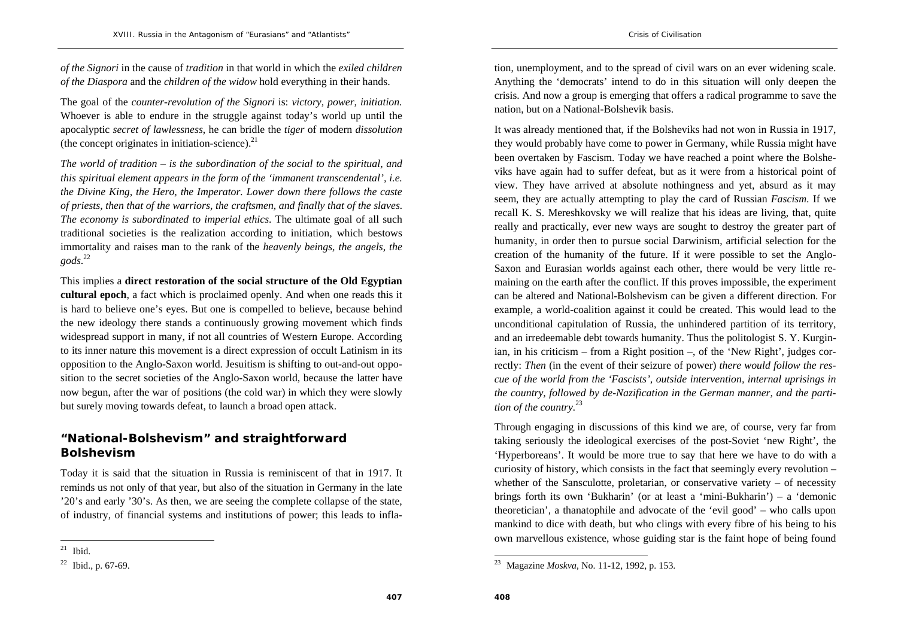*of the Signori* in the cause of *tradition* in that world in which the *exiled children of the Diaspora* and the *children of the widow* hold everything in their hands.

The goal of the *counter-revolution of the Signori* is: *victory, power, initiation.* Whoever is able to endure in the struggle against today's world up until the apocalyptic *secret of lawlessness*, he can bridle the *tiger* of modern *dissolution* (the concept originates in initiation-science). $^{21}$ 

*The world of tradition – is the subordination of the social to the spiritual, and this spiritual element appears in the form of the 'immanent transcendental', i.e. the Divine King, the Hero, the Imperator. Lower down there follows the caste of priests, then that of the warriors, the craftsmen, and finally that of the slaves. The economy is subordinated to imperial ethics*. The ultimate goal of all such traditional societies is the realization according to initiation, which bestows immortality and raises man to the rank of the *heavenly beings, the angels, the gods*.<sup>22</sup>

This implies a **direct restoration of the social structure of the Old Egyptian cultural epoch**, a fact which is proclaimed openly. And when one reads this it is hard to believe one's eyes. But one is compelled to believe, because behind the new ideology there stands a continuously growing movement which finds widespread support in many, if not all countries of Western Europe. According to its inner nature this movement is a direct expression of occult Latinism in its opposition to the Anglo-Saxon world. Jesuitism is shifting to out-and-out opposition to the secret societies of the Anglo-Saxon world, because the latter have now begun, after the war of positions (the cold war) in which they were slowly but surely moving towards defeat, to launch a broad open attack.

# **"National-Bolshevism" and straightforward Bolshevism**

Today it is said that the situation in Russia is reminiscent of that in 1917. It reminds us not only of that year, but also of the situation in Germany in the late '20's and early '30's. As then, we are seeing the complete collapse of the state, of industry, of financial systems and institutions of power; this leads to inflation, unemployment, and to the spread of civil wars on an ever widening scale. Anything the 'democrats' intend to do in this situation will only deepen the crisis. And now a group is emerging that offers a radical programme to save the nation, but on a National-Bolshevik basis.

It was already mentioned that, if the Bolsheviks had not won in Russia in 1917, they would probably have come to power in Germany, while Russia might have been overtaken by Fascism. Today we have reached a point where the Bolsheviks have again had to suffer defeat, but as it were from a historical point of view. They have arrived at absolute nothingness and yet, absurd as it may seem, they are actually attempting to play the card of Russian *Fascism*. If we recall K. S. Mereshkovsky we will realize that his ideas are living, that, quite really and practically, ever new ways are sought to destroy the greater part of humanity, in order then to pursue social Darwinism, artificial selection for the creation of the humanity of the future. If it were possible to set the Anglo-Saxon and Eurasian worlds against each other, there would be very little remaining on the earth after the conflict. If this proves impossible, the experiment can be altered and National-Bolshevism can be given a different direction. For example, a world-coalition against it could be created. This would lead to the unconditional capitulation of Russia, the unhindered partition of its territory, and an irredeemable debt towards humanity. Thus the politologist S. Y. Kurginian, in his criticism – from a Right position –, of the 'New Right', judges correctly: *Then* (in the event of their seizure of power) *there would follow the rescue of the world from the 'Fascists', outside intervention, internal uprisings in the country, followed by de-Nazification in the German manner, and the partition of the country.*<sup>23</sup>

Through engaging in discussions of this kind we are, of course, very far from taking seriously the ideological exercises of the post-Soviet 'new Right', the 'Hyperboreans'. It would be more true to say that here we have to do with a curiosity of history, which consists in the fact that seemingly every revolution – whether of the Sansculotte, proletarian, or conservative variety  $-$  of necessity brings forth its own 'Bukharin' (or at least a 'mini-Bukharin') – a 'demonic theoretician', a thanatophile and advocate of the 'evil good' – who calls upon mankind to dice with death, but who clings with every fibre of his being to his own marvellous existence, whose guiding star is the faint hope of being found

 $21$  Ibid.

 $22$  Ibid., p. 67-69.

<sup>23</sup> Magazine *Moskva*, No. 11-12, 1992, p. 153.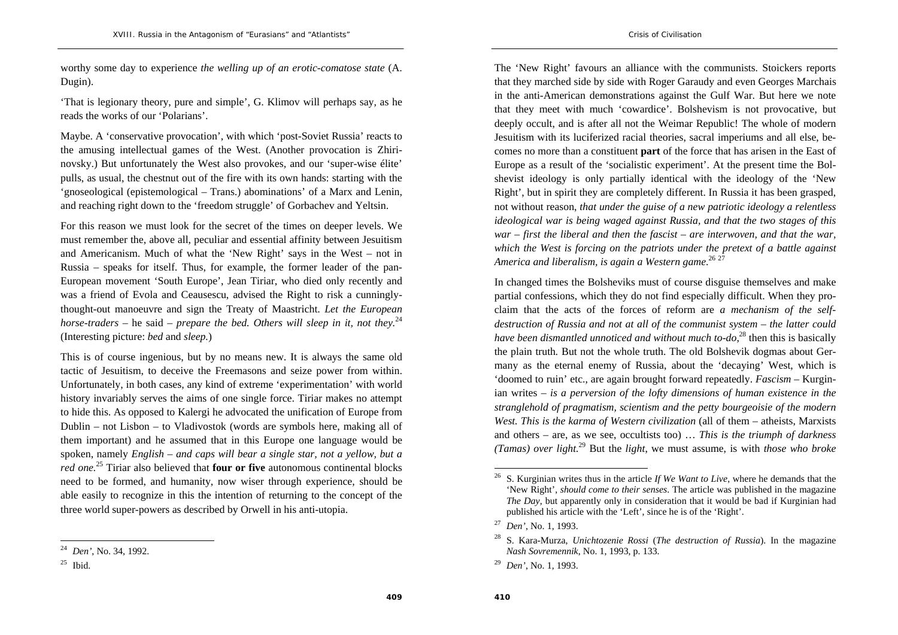worthy some day to experience *the welling up of an erotic-comatose state* (A. Dugin).

'That is legionary theory, pure and simple', G. Klimov will perhaps say, as he reads the works of our 'Polarians'.

Maybe. A 'conservative provocation', with which 'post-Soviet Russia' reacts to the amusing intellectual games of the West. (Another provocation is Zhirinovsky.) But unfortunately the West also provokes, and our 'super-wise élite' pulls, as usual, the chestnut out of the fire with its own hands: starting with the 'gnoseological (epistemological – Trans.) abominations' of a Marx and Lenin, and reaching right down to the 'freedom struggle' of Gorbachev and Yeltsin.

For this reason we must look for the secret of the times on deeper levels. We must remember the, above all, peculiar and essential affinity between Jesuitism and Americanism. Much of what the 'New Right' says in the West – not in Russia – speaks for itself. Thus, for example, the former leader of the pan-European movement 'South Europe', Jean Tiriar, who died only recently and was a friend of Evola and Ceausescu, advised the Right to risk a cunninglythought-out manoeuvre and sign the Treaty of Maastricht. *Let the European horse-traders – he said – prepare the bed. Others will sleep in it, not they.*<sup>24</sup> (Interesting picture: *bed* and *sleep.*)

This is of course ingenious, but by no means new. It is always the same old tactic of Jesuitism, to deceive the Freemasons and seize power from within. Unfortunately, in both cases, any kind of extreme 'experimentation' with world history invariably serves the aims of one single force. Tiriar makes no attempt to hide this. As opposed to Kalergi he advocated the unification of Europe from Dublin – not Lisbon – to Vladivostok (words are symbols here, making all of them important) and he assumed that in this Europe one language would be spoken, namely *English – and caps will bear a single star, not a yellow, but a red one.*25 Tiriar also believed that **four or five** autonomous continental blocks need to be formed, and humanity, now wiser through experience, should be able easily to recognize in this the intention of returning to the concept of the three world super-powers as described by Orwell in his anti-utopia.

The 'New Right' favours an alliance with the communists. Stoickers reports that they marched side by side with Roger Garaudy and even Georges Marchais in the anti-American demonstrations against the Gulf War. But here we note that they meet with much 'cowardice'. Bolshevism is not provocative, but deeply occult, and is after all not the Weimar Republic! The whole of modern Jesuitism with its luciferized racial theories, sacral imperiums and all else, becomes no more than a constituent **part** of the force that has arisen in the East of Europe as a result of the 'socialistic experiment'. At the present time the Bolshevist ideology is only partially identical with the ideology of the 'New Right', but in spirit they are completely different. In Russia it has been grasped, not without reason, *that under the guise of a new patriotic ideology a relentless ideological war is being waged against Russia, and that the two stages of this war – first the liberal and then the fascist – are interwoven, and that the war, which the West is forcing on the patriots under the pretext of a battle against*  America and liberalism, is again a Western game.<sup>26, 27</sup>

In changed times the Bolsheviks must of course disguise themselves and make partial confessions, which they do not find especially difficult. When they proclaim that the acts of the forces of reform are *a mechanism of the selfdestruction of Russia and not at all of the communist system – the latter could have been dismantled unnoticed and without much to-do,*28 then this is basically the plain truth*.* But not the whole truth. The old Bolshevik dogmas about Germany as the eternal enemy of Russia, about the 'decaying' West, which is 'doomed to ruin' etc., are again brought forward repeatedly. *Fascism –* Kurginian writes – *is a perversion of the lofty dimensions of human existence in the stranglehold of pragmatism, scientism and the petty bourgeoisie of the modern West. This is the karma of Western civilization* (all of them – atheists, Marxists and others – are, as we see, occultists too) … *This is the triumph of darkness (Tamas) over light.*29 But the *light*, we must assume, is with *those who broke* 

<sup>24</sup> *Den'*, No. 34, 1992.

 $25$  Ibid.

<sup>26</sup> S. Kurginian writes thus in the article *If We Want to Live*, where he demands that the 'New Right', *should come to their senses*. The article was published in the magazine *The Day*, but apparently only in consideration that it would be bad if Kurginian had published his article with the 'Left', since he is of the 'Right'.

<sup>27</sup> *Den'*, No. 1, 1993.

<sup>28</sup> S. Kara-Murza, *Unichtozenie Rossi* (*The destruction of Russia*). In the magazine *Nash Sovremennik*, No. 1, 1993, p. 133.

<sup>29</sup> *Den'*, No. 1, 1993.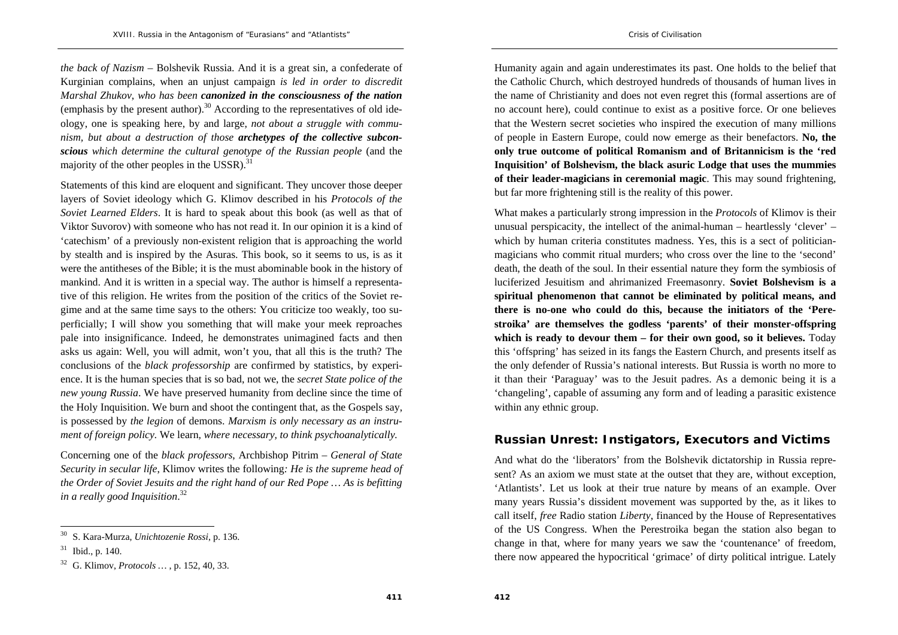*the back of Nazism* – Bolshevik Russia. And it is a great sin, a confederate of Kurginian complains, when an unjust campaign *is led in order to discredit Marshal Zhukov*, *who has been canonized in the consciousness of the nation* (emphasis by the present author). $30$  According to the representatives of old ideology, one is speaking here, by and large, *not about a struggle with communism, but about a destruction of those archetypes of the collective subconscious which determine the cultural genotype of the Russian people* (and the majority of the other peoples in the USSR). $31$ 

Statements of this kind are eloquent and significant. They uncover those deeper layers of Soviet ideology which G. Klimov described in his *Protocols of the Soviet Learned Elders*. It is hard to speak about this book (as well as that of Viktor Suvorov) with someone who has not read it. In our opinion it is a kind of 'catechism' of a previously non-existent religion that is approaching the world by stealth and is inspired by the Asuras. This book, so it seems to us, is as it were the antitheses of the Bible; it is the must abominable book in the history of mankind. And it is written in a special way. The author is himself a representative of this religion. He writes from the position of the critics of the Soviet regime and at the same time says to the others: You criticize too weakly, too superficially; I will show you something that will make your meek reproaches pale into insignificance. Indeed, he demonstrates unimagined facts and then asks us again: Well, you will admit, won't you, that all this is the truth? The conclusions of the *black professorship* are confirmed by statistics, by experience. It is the human species that is so bad, not we, the *secret State police of the new young Russia*. We have preserved humanity from decline since the time of the Holy Inquisition. We burn and shoot the contingent that, as the Gospels say, is possessed by *the legion* of demons. *Marxism is only necessary as an instrument of foreign policy.* We learn*, where necessary, to think psychoanalytically.*

Concerning one of the *black professors*, Archbishop Pitrim – *General of State Security in secular life*, Klimov writes the following*: He is the supreme head of the Order of Soviet Jesuits and the right hand of our Red Pope … As is befitting in a really good Inquisition*.<sup>32</sup>

Humanity again and again underestimates its past. One holds to the belief that the Catholic Church, which destroyed hundreds of thousands of human lives in the name of Christianity and does not even regret this (formal assertions are of no account here), could continue to exist as a positive force. Or one believes that the Western secret societies who inspired the execution of many millions of people in Eastern Europe, could now emerge as their benefactors. **No, the only true outcome of political Romanism and of Britannicism is the 'red Inquisition' of Bolshevism, the black asuric Lodge that uses the mummies of their leader-magicians in ceremonial magic**. This may sound frightening, but far more frightening still is the reality of this power.

What makes a particularly strong impression in the *Protocols* of Klimov is their unusual perspicacity, the intellect of the animal-human – heartlessly 'clever' – which by human criteria constitutes madness. Yes, this is a sect of politicianmagicians who commit ritual murders; who cross over the line to the 'second' death, the death of the soul. In their essential nature they form the symbiosis of luciferized Jesuitism and ahrimanized Freemasonry. **Soviet Bolshevism is a spiritual phenomenon that cannot be eliminated by political means, and there is no-one who could do this, because the initiators of the 'Perestroika' are themselves the godless 'parents' of their monster-offspring which is ready to devour them – for their own good, so it believes.** Today this 'offspring' has seized in its fangs the Eastern Church, and presents itself as the only defender of Russia's national interests. But Russia is worth no more to it than their 'Paraguay' was to the Jesuit padres. As a demonic being it is a 'changeling', capable of assuming any form and of leading a parasitic existence within any ethnic group.

### **Russian Unrest: Instigators, Executors and Victims**

And what do the 'liberators' from the Bolshevik dictatorship in Russia represent? As an axiom we must state at the outset that they are, without exception, 'Atlantists'. Let us look at their true nature by means of an example. Over many years Russia's dissident movement was supported by the, as it likes to call itself, *free* Radio station *Liberty*, financed by the House of Representatives of the US Congress. When the Perestroika began the station also began to change in that, where for many years we saw the 'countenance' of freedom, there now appeared the hypocritical 'grimace' of dirty political intrigue. Lately

<sup>30</sup> S. Kara-Murza, *Unichtozenie Rossi*, p. 136.

 $31$  Ibid., p. 140.

<sup>32</sup> G. Klimov, *Protocols …* , p. 152, 40, 33.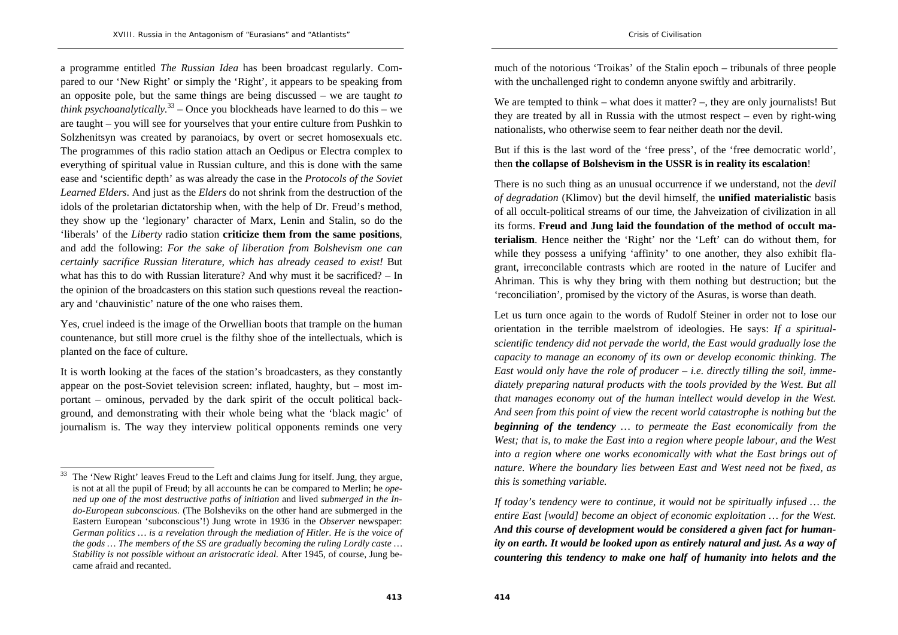a programme entitled *The Russian Idea* has been broadcast regularly. Compared to our 'New Right' or simply the 'Right', it appears to be speaking from an opposite pole, but the same things are being discussed – we are taught *to think psychoanalytically.*<sup>33</sup> – Once you blockheads have learned to do this – we are taught – you will see for yourselves that your entire culture from Pushkin to Solzhenitsyn was created by paranoiacs, by overt or secret homosexuals etc. The programmes of this radio station attach an Oedipus or Electra complex to everything of spiritual value in Russian culture, and this is done with the same ease and 'scientific depth' as was already the case in the *Protocols of the Soviet Learned Elders*. And just as the *Elders* do not shrink from the destruction of the idols of the proletarian dictatorship when, with the help of Dr. Freud's method, they show up the 'legionary' character of Marx, Lenin and Stalin, so do the 'liberals' of the *Liberty* radio station **criticize them from the same positions**, and add the following: *For the sake of liberation from Bolshevism one can certainly sacrifice Russian literature, which has already ceased to exist!* But what has this to do with Russian literature? And why must it be sacrificed? – In the opinion of the broadcasters on this station such questions reveal the reactionary and 'chauvinistic' nature of the one who raises them.

Yes, cruel indeed is the image of the Orwellian boots that trample on the human countenance, but still more cruel is the filthy shoe of the intellectuals, which is planted on the face of culture.

It is worth looking at the faces of the station's broadcasters, as they constantly appear on the post-Soviet television screen: inflated, haughty, but – most important – ominous, pervaded by the dark spirit of the occult political background, and demonstrating with their whole being what the 'black magic' of journalism is. The way they interview political opponents reminds one very

much of the notorious 'Troikas' of the Stalin epoch – tribunals of three people with the unchallenged right to condemn anyone swiftly and arbitrarily.

We are tempted to think – what does it matter? –, they are only journalists! But they are treated by all in Russia with the utmost respect – even by right-wing nationalists, who otherwise seem to fear neither death nor the devil.

But if this is the last word of the 'free press', of the 'free democratic world', then **the collapse of Bolshevism in the USSR is in reality its escalation**!

There is no such thing as an unusual occurrence if we understand, not the *devil of degradation* (Klimov) but the devil himself, the **unified materialistic** basis of all occult-political streams of our time, the Jahveization of civilization in all its forms. **Freud and Jung laid the foundation of the method of occult materialism**. Hence neither the 'Right' nor the 'Left' can do without them, for while they possess a unifying 'affinity' to one another, they also exhibit flagrant, irreconcilable contrasts which are rooted in the nature of Lucifer and Ahriman. This is why they bring with them nothing but destruction; but the 'reconciliation', promised by the victory of the Asuras, is worse than death.

Let us turn once again to the words of Rudolf Steiner in order not to lose our orientation in the terrible maelstrom of ideologies. He says: *If a spiritualscientific tendency did not pervade the world, the East would gradually lose the capacity to manage an economy of its own or develop economic thinking. The East would only have the role of producer – i.e. directly tilling the soil, immediately preparing natural products with the tools provided by the West. But all that manages economy out of the human intellect would develop in the West. And seen from this point of view the recent world catastrophe is nothing but the beginning of the tendency … to permeate the East economically from the West; that is, to make the East into a region where people labour, and the West into a region where one works economically with what the East brings out of nature. Where the boundary lies between East and West need not be fixed, as this is something variable.*

 $33$  The 'New Right' leaves Freud to the Left and claims Jung for itself. Jung, they argue, is not at all the pupil of Freud; by all accounts he can be compared to Merlin; he *opened up one of the most destructive paths of initiation* and lived *submerged in the Indo-European subconscious.* (The Bolsheviks on the other hand are submerged in the Eastern European 'subconscious'!) Jung wrote in 1936 in the *Observer* newspaper: *German politics … is a revelation through the mediation of Hitler. He is the voice of the gods … The members of the SS are gradually becoming the ruling Lordly caste … Stability is not possible without an aristocratic ideal.* After 1945, of course, Jung became afraid and recanted.

*If today's tendency were to continue, it would not be spiritually infused … the entire East [would] become an object of economic exploitation … for the West. And this course of development would be considered a given fact for humanity on earth. It would be looked upon as entirely natural and just. As a way of countering this tendency to make one half of humanity into helots and the*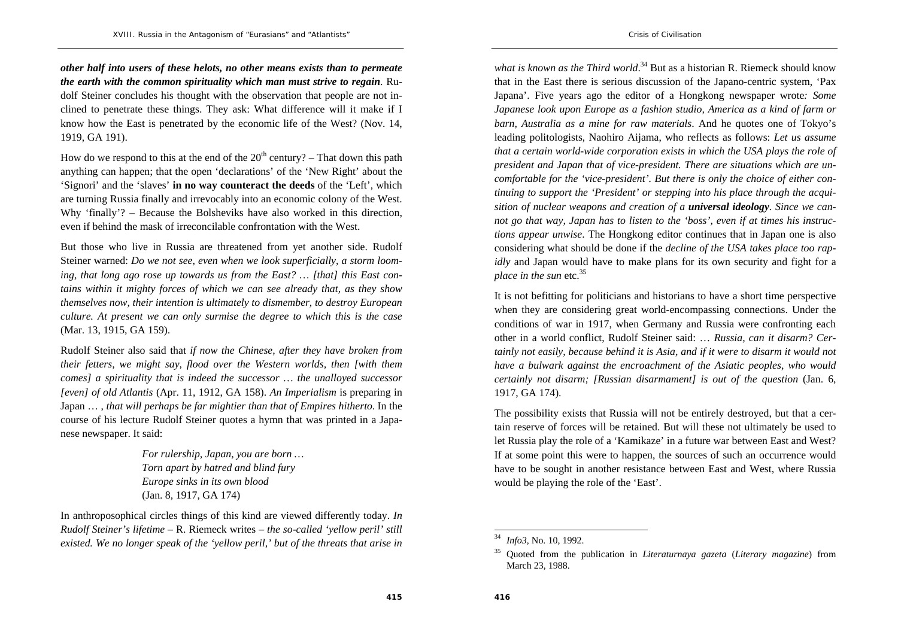*other half into users of these helots, no other means exists than to permeate the earth with the common spirituality which man must strive to regain*. Rudolf Steiner concludes his thought with the observation that people are not inclined to penetrate these things. They ask: What difference will it make if I know how the East is penetrated by the economic life of the West? (Nov. 14, 1919, GA 191).

How do we respond to this at the end of the  $20<sup>th</sup>$  century? – That down this path anything can happen; that the open 'declarations' of the 'New Right' about the 'Signori' and the 'slaves' **in no way counteract the deeds** of the 'Left', which are turning Russia finally and irrevocably into an economic colony of the West. Why 'finally'? – Because the Bolsheviks have also worked in this direction, even if behind the mask of irreconcilable confrontation with the West.

But those who live in Russia are threatened from yet another side. Rudolf Steiner warned: *Do we not see, even when we look superficially, a storm looming, that long ago rose up towards us from the East? … [that] this East contains within it mighty forces of which we can see already that, as they show themselves now, their intention is ultimately to dismember, to destroy European culture. At present we can only surmise the degree to which this is the case* (Mar. 13, 1915, GA 159).

Rudolf Steiner also said that *if now the Chinese, after they have broken from their fetters, we might say, flood over the Western worlds, then [with them comes] a spirituality that is indeed the successor … the unalloyed successor [even] of old Atlantis* (Apr. 11, 1912, GA 158). *An Imperialism* is preparing in Japan … , *that will perhaps be far mightier than that of Empires hitherto*. In the course of his lecture Rudolf Steiner quotes a hymn that was printed in a Japanese newspaper. It said:

> *For rulership, Japan, you are born … Torn apart by hatred and blind fury Europe sinks in its own blood*  (Jan. 8, 1917, GA 174)

In anthroposophical circles things of this kind are viewed differently today. *In Rudolf Steiner's lifetime* – R. Riemeck writes – *the so-called 'yellow peril' still existed. We no longer speak of the 'yellow peril,' but of the threats that arise in* 

*what is known as the Third world*.<sup>34</sup> But as a historian R. Riemeck should know that in the East there is serious discussion of the Japano-centric system, 'Pax Japana'. Five years ago the editor of a Hongkong newspaper wrote*: Some Japanese look upon Europe as a fashion studio, America as a kind of farm or barn, Australia as a mine for raw materials*. And he quotes one of Tokyo's leading politologists, Naohiro Aijama, who reflects as follows: *Let us assume that a certain world-wide corporation exists in which the USA plays the role of president and Japan that of vice-president. There are situations which are uncomfortable for the 'vice-president'. But there is only the choice of either continuing to support the 'President' or stepping into his place through the acquisition of nuclear weapons and creation of a universal ideology. Since we cannot go that way, Japan has to listen to the 'boss', even if at times his instructions appear unwise*. The Hongkong editor continues that in Japan one is also considering what should be done if the *decline of the USA takes place too rapidly* and Japan would have to make plans for its own security and fight for a *place in the sun* etc.<sup>35</sup>

It is not befitting for politicians and historians to have a short time perspective when they are considering great world-encompassing connections. Under the conditions of war in 1917, when Germany and Russia were confronting each other in a world conflict, Rudolf Steiner said: … *Russia, can it disarm? Certainly not easily, because behind it is Asia, and if it were to disarm it would not have a bulwark against the encroachment of the Asiatic peoples, who would certainly not disarm; [Russian disarmament] is out of the question* (Jan. 6, 1917, GA 174).

The possibility exists that Russia will not be entirely destroyed, but that a certain reserve of forces will be retained. But will these not ultimately be used to let Russia play the role of a 'Kamikaze' in a future war between East and West? If at some point this were to happen, the sources of such an occurrence would have to be sought in another resistance between East and West, where Russia would be playing the role of the 'East'.

<sup>34</sup> *Info3*, No. 10, 1992.

<sup>35</sup> Quoted from the publication in *Literaturnaya gazeta* (*Literary magazine*) from March 23, 1988.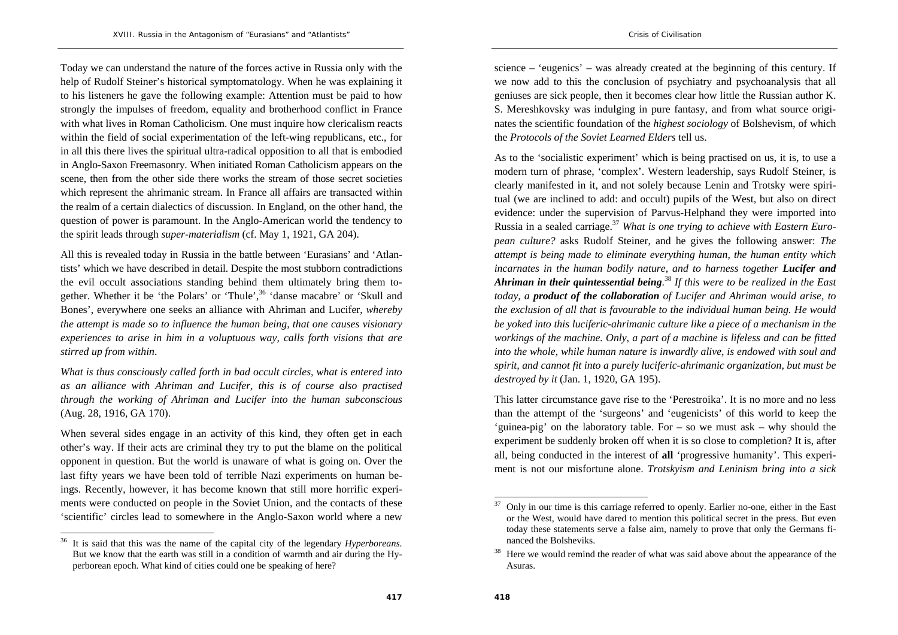Today we can understand the nature of the forces active in Russia only with the help of Rudolf Steiner's historical symptomatology. When he was explaining it to his listeners he gave the following example: Attention must be paid to how strongly the impulses of freedom, equality and brotherhood conflict in France with what lives in Roman Catholicism. One must inquire how clericalism reacts within the field of social experimentation of the left-wing republicans, etc., for in all this there lives the spiritual ultra-radical opposition to all that is embodied in Anglo-Saxon Freemasonry. When initiated Roman Catholicism appears on the scene, then from the other side there works the stream of those secret societies which represent the ahrimanic stream. In France all affairs are transacted within the realm of a certain dialectics of discussion. In England, on the other hand, the question of power is paramount. In the Anglo-American world the tendency to the spirit leads through *super-materialism* (cf. May 1, 1921, GA 204).

All this is revealed today in Russia in the battle between 'Eurasians' and 'Atlantists' which we have described in detail. Despite the most stubborn contradictions the evil occult associations standing behind them ultimately bring them together. Whether it be 'the Polars' or 'Thule',<sup>36</sup> 'danse macabre' or 'Skull and Bones', everywhere one seeks an alliance with Ahriman and Lucifer, *whereby the attempt is made so to influence the human being, that one causes visionary experiences to arise in him in a voluptuous way, calls forth visions that are stirred up from within*.

*What is thus consciously called forth in bad occult circles, what is entered into as an alliance with Ahriman and Lucifer, this is of course also practised through the working of Ahriman and Lucifer into the human subconscious*  (Aug. 28, 1916, GA 170).

When several sides engage in an activity of this kind, they often get in each other's way. If their acts are criminal they try to put the blame on the political opponent in question. But the world is unaware of what is going on. Over the last fifty years we have been told of terrible Nazi experiments on human beings. Recently, however, it has become known that still more horrific experiments were conducted on people in the Soviet Union, and the contacts of these 'scientific' circles lead to somewhere in the Anglo-Saxon world where a new

science – 'eugenics' – was already created at the beginning of this century. If we now add to this the conclusion of psychiatry and psychoanalysis that all geniuses are sick people, then it becomes clear how little the Russian author K. S. Mereshkovsky was indulging in pure fantasy, and from what source originates the scientific foundation of the *highest sociology* of Bolshevism, of which the *Protocols of the Soviet Learned Elders* tell us.

As to the 'socialistic experiment' which is being practised on us, it is, to use a modern turn of phrase, 'complex'. Western leadership, says Rudolf Steiner, is clearly manifested in it, and not solely because Lenin and Trotsky were spiritual (we are inclined to add: and occult) pupils of the West, but also on direct evidence: under the supervision of Parvus-Helphand they were imported into Russia in a sealed carriage.<sup>37</sup> *What is one trying to achieve with Eastern European culture?* asks Rudolf Steiner, and he gives the following answer: *The attempt is being made to eliminate everything human, the human entity which incarnates in the human bodily nature, and to harness together Lucifer and Ahriman in their quintessential being*.<sup>38</sup> *If this were to be realized in the East today, a product of the collaboration of Lucifer and Ahriman would arise, to the exclusion of all that is favourable to the individual human being. He would be yoked into this luciferic-ahrimanic culture like a piece of a mechanism in the workings of the machine. Only, a part of a machine is lifeless and can be fitted into the whole, while human nature is inwardly alive, is endowed with soul and spirit, and cannot fit into a purely luciferic-ahrimanic organization, but must be destroyed by it* (Jan. 1, 1920, GA 195).

This latter circumstance gave rise to the 'Perestroika'. It is no more and no less than the attempt of the 'surgeons' and 'eugenicists' of this world to keep the 'guinea-pig' on the laboratory table. For – so we must ask – why should the experiment be suddenly broken off when it is so close to completion? It is, after all, being conducted in the interest of **all** 'progressive humanity'. This experiment is not our misfortune alone. *Trotskyism and Leninism bring into a sick* 

<sup>36</sup> It is said that this was the name of the capital city of the legendary *Hyperboreans*. But we know that the earth was still in a condition of warmth and air during the Hyperborean epoch. What kind of cities could one be speaking of here?

<sup>37</sup> Only in our time is this carriage referred to openly. Earlier no-one, either in the East or the West, would have dared to mention this political secret in the press. But even today these statements serve a false aim, namely to prove that only the Germans financed the Bolsheviks.

Here we would remind the reader of what was said above about the appearance of the Asuras.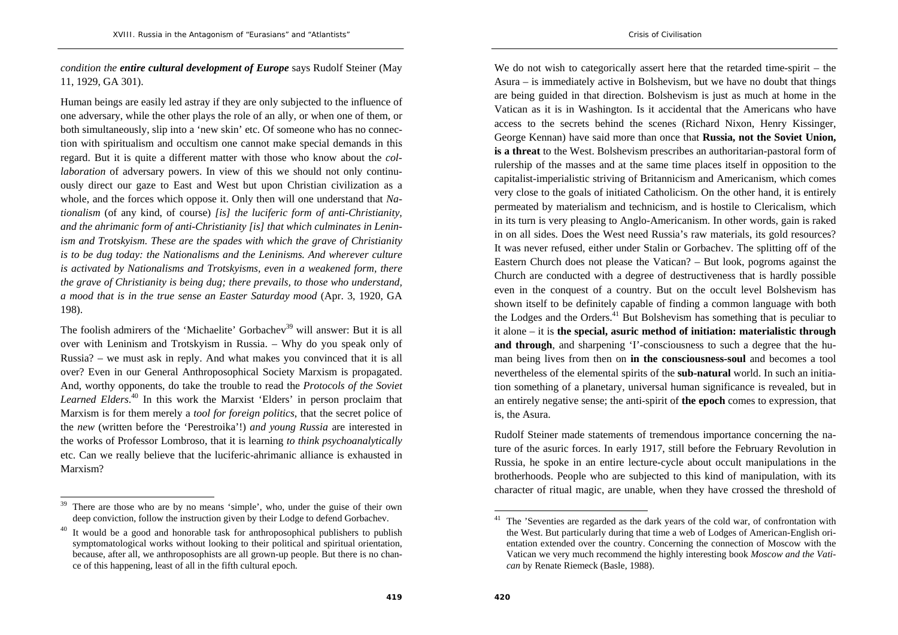*condition the entire cultural development of Europe* says Rudolf Steiner (May 11, 1929, GA 301).

Human beings are easily led astray if they are only subjected to the influence of one adversary, while the other plays the role of an ally, or when one of them, or both simultaneously, slip into a 'new skin' etc. Of someone who has no connection with spiritualism and occultism one cannot make special demands in this regard. But it is quite a different matter with those who know about the *collaboration* of adversary powers. In view of this we should not only continuously direct our gaze to East and West but upon Christian civilization as a whole, and the forces which oppose it. Only then will one understand that *Nationalism* (of any kind, of course) *[is] the luciferic form of anti-Christianity, and the ahrimanic form of anti-Christianity [is] that which culminates in Leninism and Trotskyism. These are the spades with which the grave of Christianity is to be dug today: the Nationalisms and the Leninisms. And wherever culture is activated by Nationalisms and Trotskyisms, even in a weakened form, there the grave of Christianity is being dug; there prevails, to those who understand, a mood that is in the true sense an Easter Saturday mood* (Apr. 3, 1920, GA 198).

The foolish admirers of the 'Michaelite' Gorbachev<sup>39</sup> will answer: But it is all over with Leninism and Trotskyism in Russia. – Why do you speak only of Russia? – we must ask in reply. And what makes you convinced that it is all over? Even in our General Anthroposophical Society Marxism is propagated. And, worthy opponents, do take the trouble to read the *Protocols of the Soviet*  Learned Elders.<sup>40</sup> In this work the Marxist 'Elders' in person proclaim that Marxism is for them merely a *tool for foreign politics*, that the secret police of the *new* (written before the 'Perestroika'!) *and young Russia* are interested in the works of Professor Lombroso, that it is learning *to think psychoanalytically* etc. Can we really believe that the luciferic-ahrimanic alliance is exhausted in Marxism?

We do not wish to categorically assert here that the retarded time-spirit – the Asura – is immediately active in Bolshevism, but we have no doubt that things are being guided in that direction. Bolshevism is just as much at home in the Vatican as it is in Washington. Is it accidental that the Americans who have access to the secrets behind the scenes (Richard Nixon, Henry Kissinger, George Kennan) have said more than once that **Russia, not the Soviet Union, is a threat** to the West. Bolshevism prescribes an authoritarian-pastoral form of rulership of the masses and at the same time places itself in opposition to the capitalist-imperialistic striving of Britannicism and Americanism, which comes very close to the goals of initiated Catholicism. On the other hand, it is entirely permeated by materialism and technicism, and is hostile to Clericalism, which in its turn is very pleasing to Anglo-Americanism. In other words, gain is raked in on all sides. Does the West need Russia's raw materials, its gold resources? It was never refused, either under Stalin or Gorbachev. The splitting off of the Eastern Church does not please the Vatican? – But look, pogroms against the Church are conducted with a degree of destructiveness that is hardly possible even in the conquest of a country. But on the occult level Bolshevism has shown itself to be definitely capable of finding a common language with both the Lodges and the Orders.<sup>41</sup> But Bolshevism has something that is peculiar to it alone – it is **the special, asuric method of initiation: materialistic through**  and through, and sharpening 'I'-consciousness to such a degree that the human being lives from then on **in the consciousness-soul** and becomes a tool nevertheless of the elemental spirits of the **sub-natural** world. In such an initiation something of a planetary, universal human significance is revealed, but in an entirely negative sense; the anti-spirit of **the epoch** comes to expression, that is, the Asura.

Rudolf Steiner made statements of tremendous importance concerning the nature of the asuric forces. In early 1917, still before the February Revolution in Russia, he spoke in an entire lecture-cycle about occult manipulations in the brotherhoods. People who are subjected to this kind of manipulation, with its character of ritual magic, are unable, when they have crossed the threshold of

There are those who are by no means 'simple', who, under the guise of their own deep conviction, follow the instruction given by their Lodge to defend Gorbachev.

<sup>&</sup>lt;sup>40</sup> It would be a good and honorable task for anthroposophical publishers to publish symptomatological works without looking to their political and spiritual orientation, because, after all, we anthroposophists are all grown-up people. But there is no chance of this happening, least of all in the fifth cultural epoch.

 $41$  The 'Seventies are regarded as the dark years of the cold war, of confrontation with the West. But particularly during that time a web of Lodges of American-English orientation extended over the country. Concerning the connection of Moscow with the Vatican we very much recommend the highly interesting book *Moscow and the Vatican* by Renate Riemeck (Basle, 1988).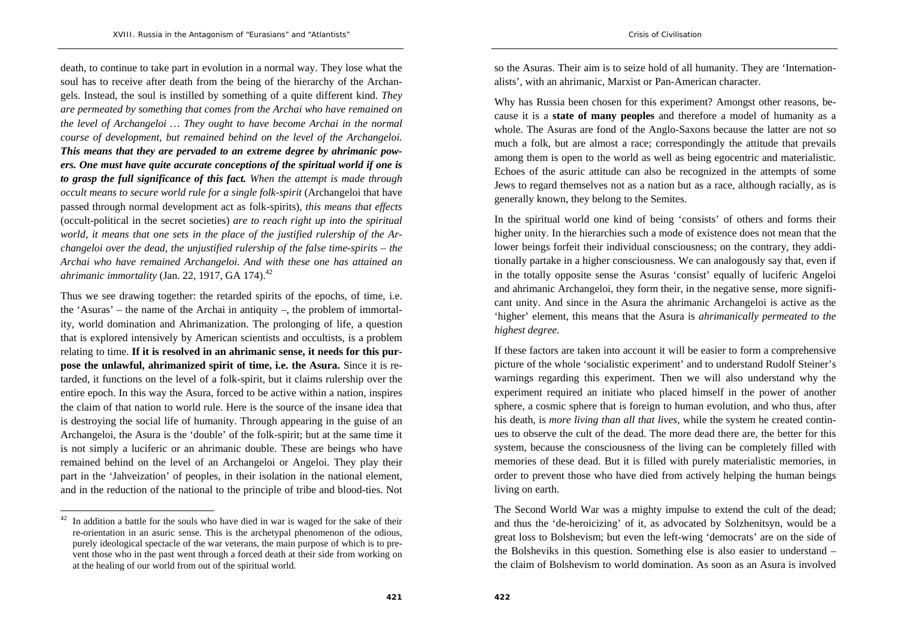death, to continue to take part in evolution in a normal way. They lose what the soul has to receive after death from the being of the hierarchy of the Archangels. Instead, the soul is instilled by something of a quite different kind. *They are permeated by something that comes from the Archai who have remained on the level of Archangeloi … They ought to have become Archai in the normal course of development, but remained behind on the level of the Archangeloi. This means that they are pervaded to an extreme degree by ahrimanic powers. One must have quite accurate conceptions of the spiritual world if one is to grasp the full significance of this fact. When the attempt is made through occult means to secure world rule for a single folk-spirit* (Archangeloi that have passed through normal development act as folk-spirits), *this means that effects*  (occult-political in the secret societies) *are to reach right up into the spiritual world, it means that one sets in the place of the justified rulership of the Archangeloi over the dead, the unjustified rulership of the false time-spirits – the Archai who have remained Archangeloi. And with these one has attained an ahrimanic immortality (Jan. 22, 1917, GA 174).*<sup>42</sup>

Thus we see drawing together: the retarded spirits of the epochs, of time, i.e. the 'Asuras' – the name of the Archai in antiquity –, the problem of immortality, world domination and Ahrimanization. The prolonging of life, a question that is explored intensively by American scientists and occultists, is a problem relating to time. **If it is resolved in an ahrimanic sense, it needs for this purpose the unlawful, ahrimanized spirit of time, i.e. the Asura.** Since it is retarded, it functions on the level of a folk-spirit, but it claims rulership over the entire epoch. In this way the Asura, forced to be active within a nation, inspires the claim of that nation to world rule. Here is the source of the insane idea that is destroying the social life of humanity. Through appearing in the guise of an Archangeloi, the Asura is the 'double' of the folk-spirit; but at the same time it is not simply a luciferic or an ahrimanic double. These are beings who have remained behind on the level of an Archangeloi or Angeloi. They play their part in the 'Jahveization' of peoples, in their isolation in the national element, and in the reduction of the national to the principle of tribe and blood-ties. Not

so the Asuras. Their aim is to seize hold of all humanity. They are 'Internationalists', with an ahrimanic, Marxist or Pan-American character.

Why has Russia been chosen for this experiment? Amongst other reasons, because it is a **state of many peoples** and therefore a model of humanity as a whole. The Asuras are fond of the Anglo-Saxons because the latter are not so much a folk, but are almost a race; correspondingly the attitude that prevails among them is open to the world as well as being egocentric and materialistic. Echoes of the asuric attitude can also be recognized in the attempts of some Jews to regard themselves not as a nation but as a race, although racially, as is generally known, they belong to the Semites.

In the spiritual world one kind of being 'consists' of others and forms their higher unity. In the hierarchies such a mode of existence does not mean that the lower beings forfeit their individual consciousness; on the contrary, they additionally partake in a higher consciousness. We can analogously say that, even if in the totally opposite sense the Asuras 'consist' equally of luciferic Angeloi and ahrimanic Archangeloi, they form their, in the negative sense, more significant unity. And since in the Asura the ahrimanic Archangeloi is active as the 'higher' element, this means that the Asura is *ahrimanically permeated to the highest degree*.

If these factors are taken into account it will be easier to form a comprehensive picture of the whole 'socialistic experiment' and to understand Rudolf Steiner's warnings regarding this experiment. Then we will also understand why the experiment required an initiate who placed himself in the power of another sphere, a cosmic sphere that is foreign to human evolution, and who thus, after his death, is *more living than all that lives,* while the system he created continues to observe the cult of the dead. The more dead there are, the better for this system, because the consciousness of the living can be completely filled with memories of these dead. But it is filled with purely materialistic memories, in order to prevent those who have died from actively helping the human beings living on earth.

The Second World War was a mighty impulse to extend the cult of the dead; and thus the 'de-heroicizing' of it, as advocated by Solzhenitsyn, would be a great loss to Bolshevism; but even the left-wing 'democrats' are on the side of the Bolsheviks in this question. Something else is also easier to understand – the claim of Bolshevism to world domination. As soon as an Asura is involved

 $42$  In addition a battle for the souls who have died in war is waged for the sake of their re-orientation in an asuric sense. This is the archetypal phenomenon of the odious, purely ideological spectacle of the war veterans, the main purpose of which is to prevent those who in the past went through a forced death at their side from working on at the healing of our world from out of the spiritual world.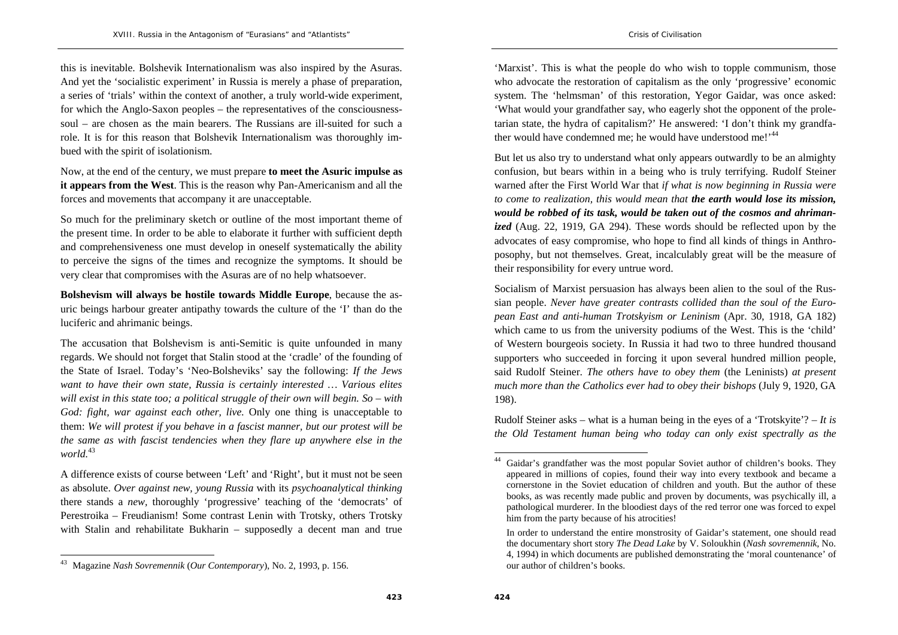this is inevitable. Bolshevik Internationalism was also inspired by the Asuras. And yet the 'socialistic experiment' in Russia is merely a phase of preparation, a series of 'trials' within the context of another, a truly world-wide experiment, for which the Anglo-Saxon peoples – the representatives of the consciousnesssoul – are chosen as the main bearers. The Russians are ill-suited for such a role. It is for this reason that Bolshevik Internationalism was thoroughly imbued with the spirit of isolationism.

Now, at the end of the century, we must prepare **to meet the Asuric impulse as it appears from the West**. This is the reason why Pan-Americanism and all the forces and movements that accompany it are unacceptable.

So much for the preliminary sketch or outline of the most important theme of the present time. In order to be able to elaborate it further with sufficient depth and comprehensiveness one must develop in oneself systematically the ability to perceive the signs of the times and recognize the symptoms. It should be very clear that compromises with the Asuras are of no help whatsoever.

**Bolshevism will always be hostile towards Middle Europe**, because the asuric beings harbour greater antipathy towards the culture of the 'I' than do the luciferic and ahrimanic beings.

The accusation that Bolshevism is anti-Semitic is quite unfounded in many regards. We should not forget that Stalin stood at the 'cradle' of the founding of the State of Israel. Today's 'Neo-Bolsheviks' say the following: *If the Jews want to have their own state, Russia is certainly interested … Various elites will exist in this state too; a political struggle of their own will begin. So – with God: fight, war against each other, live.* Only one thing is unacceptable to them: *We will protest if you behave in a fascist manner, but our protest will be the same as with fascist tendencies when they flare up anywhere else in the world.*<sup>43</sup>

A difference exists of course between 'Left' and 'Right', but it must not be seen as absolute. *Over against new, young Russia* with its *psychoanalytical thinking* there stands a *new,* thoroughly 'progressive' teaching of the 'democrats' of Perestroika – Freudianism! Some contrast Lenin with Trotsky, others Trotsky with Stalin and rehabilitate Bukharin – supposedly a decent man and true

'Marxist'. This is what the people do who wish to topple communism, those who advocate the restoration of capitalism as the only 'progressive' economic system. The 'helmsman' of this restoration, Yegor Gaidar, was once asked: 'What would your grandfather say, who eagerly shot the opponent of the proletarian state, the hydra of capitalism?' He answered: 'I don't think my grandfather would have condemned me; he would have understood me!'<sup>44</sup>

But let us also try to understand what only appears outwardly to be an almighty confusion, but bears within in a being who is truly terrifying. Rudolf Steiner warned after the First World War that *if what is now beginning in Russia were to come to realization, this would mean that the earth would lose its mission, would be robbed of its task, would be taken out of the cosmos and ahrimanized* (Aug. 22, 1919, GA 294). These words should be reflected upon by the advocates of easy compromise, who hope to find all kinds of things in Anthroposophy, but not themselves. Great, incalculably great will be the measure of their responsibility for every untrue word.

Socialism of Marxist persuasion has always been alien to the soul of the Russian people. *Never have greater contrasts collided than the soul of the European East and anti-human Trotskyism or Leninism* (Apr. 30, 1918, GA 182) which came to us from the university podiums of the West. This is the 'child' of Western bourgeois society. In Russia it had two to three hundred thousand supporters who succeeded in forcing it upon several hundred million people, said Rudolf Steiner. *The others have to obey them* (the Leninists) *at present much more than the Catholics ever had to obey their bishops* (July 9, 1920, GA 198).

Rudolf Steiner asks – what is a human being in the eyes of a 'Trotskyite'? – *It is the Old Testament human being who today can only exist spectrally as the* 

<sup>43</sup> Magazine *Nash Sovremennik* (*Our Contemporary*), No. 2, 1993, p. 156.

<sup>44</sup> Gaidar's grandfather was the most popular Soviet author of children's books. They appeared in millions of copies, found their way into every textbook and became a cornerstone in the Soviet education of children and youth. But the author of these books, as was recently made public and proven by documents, was psychically ill, a pathological murderer. In the bloodiest days of the red terror one was forced to expel him from the party because of his atrocities!

In order to understand the entire monstrosity of Gaidar's statement, one should read the documentary short story *The Dead Lake* by V. Soloukhin (*Nash sovremennik*, No. 4, 1994) in which documents are published demonstrating the 'moral countenance' of our author of children's books.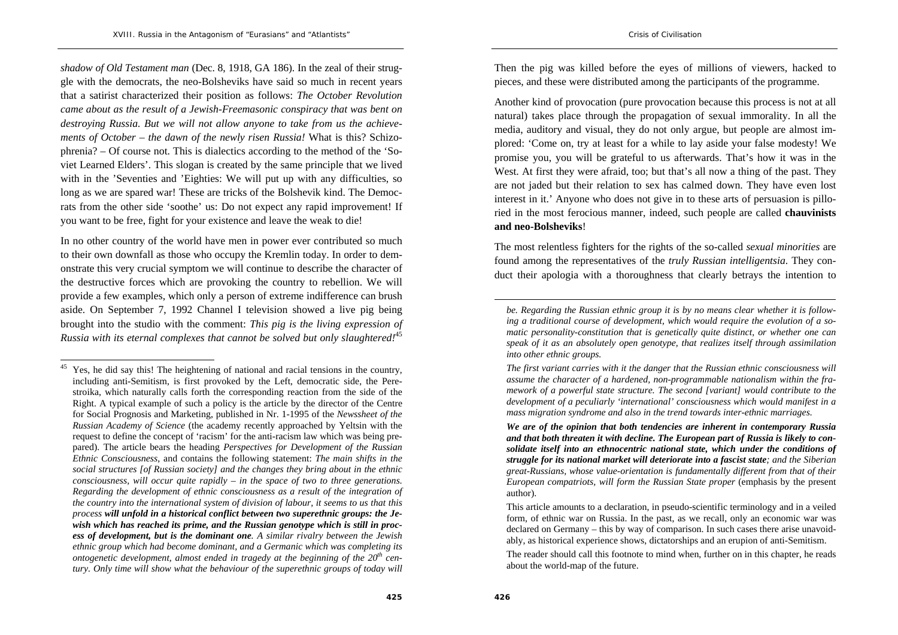*shadow of Old Testament man* (Dec. 8, 1918, GA 186). In the zeal of their struggle with the democrats, the neo-Bolsheviks have said so much in recent years that a satirist characterized their position as follows: *The October Revolution came about as the result of a Jewish-Freemasonic conspiracy that was bent on destroying Russia. But we will not allow anyone to take from us the achievements of October – the dawn of the newly risen Russia!* What is this? Schizophrenia? – Of course not. This is dialectics according to the method of the 'Soviet Learned Elders'. This slogan is created by the same principle that we lived with in the 'Seventies and 'Eighties: We will put up with any difficulties, so long as we are spared war! These are tricks of the Bolshevik kind. The Democrats from the other side 'soothe' us: Do not expect any rapid improvement! If you want to be free, fight for your existence and leave the weak to die!

In no other country of the world have men in power ever contributed so much to their own downfall as those who occupy the Kremlin today. In order to demonstrate this very crucial symptom we will continue to describe the character of the destructive forces which are provoking the country to rebellion. We will provide a few examples, which only a person of extreme indifference can brush aside. On September 7, 1992 Channel I television showed a live pig being brought into the studio with the comment: *This pig is the living expression of Russia with its eternal complexes that cannot be solved but only slaughtered!*<sup>45</sup>

Then the pig was killed before the eyes of millions of viewers, hacked to pieces, and these were distributed among the participants of the programme.

Another kind of provocation (pure provocation because this process is not at all natural) takes place through the propagation of sexual immorality. In all the media, auditory and visual, they do not only argue, but people are almost implored: 'Come on, try at least for a while to lay aside your false modesty! We promise you, you will be grateful to us afterwards. That's how it was in the West. At first they were afraid, too; but that's all now a thing of the past. They are not jaded but their relation to sex has calmed down. They have even lost interest in it.' Anyone who does not give in to these arts of persuasion is pilloried in the most ferocious manner, indeed, such people are called **chauvinists and neo-Bolsheviks**!

The most relentless fighters for the rights of the so-called *sexual minorities* are found among the representatives of the *truly Russian intelligentsia*. They conduct their apologia with a thoroughness that clearly betrays the intention to

 $45$  Yes, he did say this! The heightening of national and racial tensions in the country, including anti-Semitism, is first provoked by the Left, democratic side, the Perestroika, which naturally calls forth the corresponding reaction from the side of the Right. A typical example of such a policy is the article by the director of the Centre for Social Prognosis and Marketing, published in Nr. 1-1995 of the *Newssheet of the Russian Academy of Science* (the academy recently approached by Yeltsin with the request to define the concept of 'racism' for the anti-racism law which was being prepared). The article bears the heading *Perspectives for Development of the Russian Ethnic Consciousness*, and contains the following statement: *The main shifts in the social structures [of Russian society] and the changes they bring about in the ethnic consciousness, will occur quite rapidly – in the space of two to three generations. Regarding the development of ethnic consciousness as a result of the integration of the country into the international system of division of labour, it seems to us that this process will unfold in a historical conflict between two superethnic groups: the Jewish which has reached its prime, and the Russian genotype which is still in process of development, but is the dominant one. A similar rivalry between the Jewish ethnic group which had become dominant, and a Germanic which was completing its ontogenetic development, almost ended in tragedy at the beginning of the 20th century. Only time will show what the behaviour of the superethnic groups of today will* 

*be. Regarding the Russian ethnic group it is by no means clear whether it is following a traditional course of development, which would require the evolution of a somatic personality-constitution that is genetically quite distinct, or whether one can speak of it as an absolutely open genotype, that realizes itself through assimilation into other ethnic groups.* 

*The first variant carries with it the danger that the Russian ethnic consciousness will assume the character of a hardened, non-programmable nationalism within the framework of a powerful state structure. The second [variant] would contribute to the development of a peculiarly 'international' consciousness which would manifest in a mass migration syndrome and also in the trend towards inter-ethnic marriages.* 

*We are of the opinion that both tendencies are inherent in contemporary Russia and that both threaten it with decline. The European part of Russia is likely to consolidate itself into an ethnocentric national state, which under the conditions of struggle for its national market will deteriorate into a fascist state; and the Siberian great-Russians, whose value-orientation is fundamentally different from that of their European compatriots, will form the Russian State proper* (emphasis by the present author).

This article amounts to a declaration, in pseudo-scientific terminology and in a veiled form, of ethnic war on Russia. In the past, as we recall, only an economic war was declared on Germany – this by way of comparison. In such cases there arise unavoidably, as historical experience shows, dictatorships and an erupion of anti-Semitism.

The reader should call this footnote to mind when, further on in this chapter, he reads about the world-map of the future.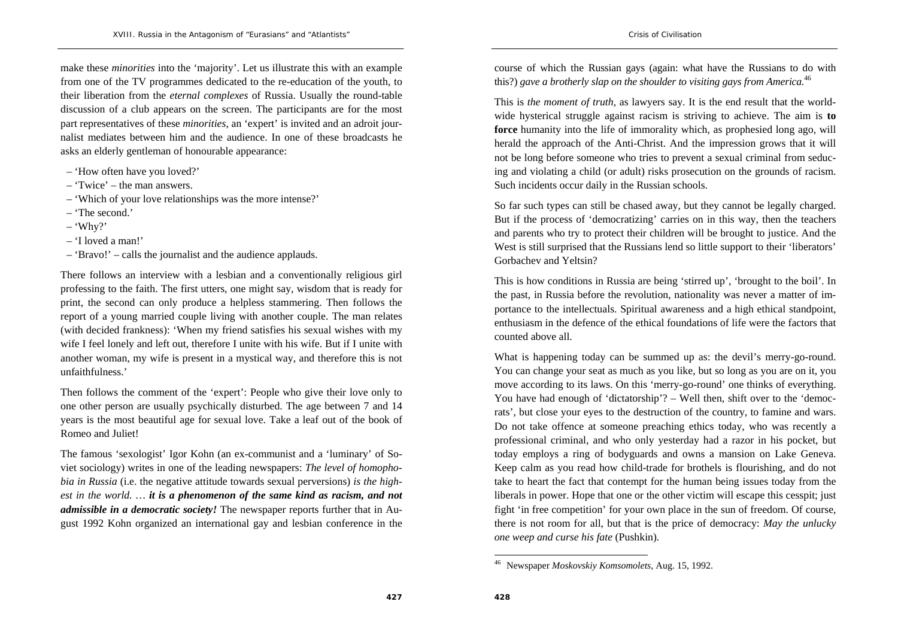make these *minorities* into the 'majority'. Let us illustrate this with an example from one of the TV programmes dedicated to the re-education of the youth, to their liberation from the *eternal complexes* of Russia. Usually the round-table discussion of a club appears on the screen. The participants are for the most part representatives of these *minorities*, an 'expert' is invited and an adroit journalist mediates between him and the audience. In one of these broadcasts he asks an elderly gentleman of honourable appearance:

- 'How often have you loved?'
- 'Twice' the man answers.
- 'Which of your love relationships was the more intense?'
- 'The second.'
- 'Why?'
- 'I loved a man!'
- 'Bravo!' calls the journalist and the audience applauds.

There follows an interview with a lesbian and a conventionally religious girl professing to the faith. The first utters, one might say, wisdom that is ready for print, the second can only produce a helpless stammering. Then follows the report of a young married couple living with another couple. The man relates (with decided frankness): 'When my friend satisfies his sexual wishes with my wife I feel lonely and left out, therefore I unite with his wife. But if I unite with another woman, my wife is present in a mystical way, and therefore this is not unfaithfulness.'

Then follows the comment of the 'expert': People who give their love only to one other person are usually psychically disturbed. The age between 7 and 14 years is the most beautiful age for sexual love. Take a leaf out of the book of Romeo and Juliet!

The famous 'sexologist' Igor Kohn (an ex-communist and a 'luminary' of Soviet sociology) writes in one of the leading newspapers: *The level of homophobia in Russia* (i.e. the negative attitude towards sexual perversions) *is the highest in the world. … it is a phenomenon of the same kind as racism, and not admissible in a democratic society!* The newspaper reports further that in August 1992 Kohn organized an international gay and lesbian conference in the

course of which the Russian gays (again: what have the Russians to do with this?) *gave a brotherly slap on the shoulder to visiting gays from America.*<sup>46</sup>

This is *the moment of truth*, as lawyers say. It is the end result that the worldwide hysterical struggle against racism is striving to achieve. The aim is **to force** humanity into the life of immorality which, as prophesied long ago, will herald the approach of the Anti-Christ. And the impression grows that it will not be long before someone who tries to prevent a sexual criminal from seducing and violating a child (or adult) risks prosecution on the grounds of racism. Such incidents occur daily in the Russian schools.

So far such types can still be chased away, but they cannot be legally charged. But if the process of 'democratizing' carries on in this way, then the teachers and parents who try to protect their children will be brought to justice. And the West is still surprised that the Russians lend so little support to their 'liberators' Gorbachev and Yeltsin?

This is how conditions in Russia are being 'stirred up', 'brought to the boil'. In the past, in Russia before the revolution, nationality was never a matter of importance to the intellectuals. Spiritual awareness and a high ethical standpoint, enthusiasm in the defence of the ethical foundations of life were the factors that counted above all.

What is happening today can be summed up as: the devil's merry-go-round. You can change your seat as much as you like, but so long as you are on it, you move according to its laws. On this 'merry-go-round' one thinks of everything. You have had enough of 'dictatorship'? – Well then, shift over to the 'democrats', but close your eyes to the destruction of the country, to famine and wars. Do not take offence at someone preaching ethics today, who was recently a professional criminal, and who only yesterday had a razor in his pocket, but today employs a ring of bodyguards and owns a mansion on Lake Geneva. Keep calm as you read how child-trade for brothels is flourishing, and do not take to heart the fact that contempt for the human being issues today from the liberals in power. Hope that one or the other victim will escape this cesspit; just fight 'in free competition' for your own place in the sun of freedom. Of course, there is not room for all, but that is the price of democracy: *May the unlucky one weep and curse his fate* (Pushkin).

<sup>46</sup> Newspaper *Moskovskiy Komsomolets*, Aug. 15, 1992.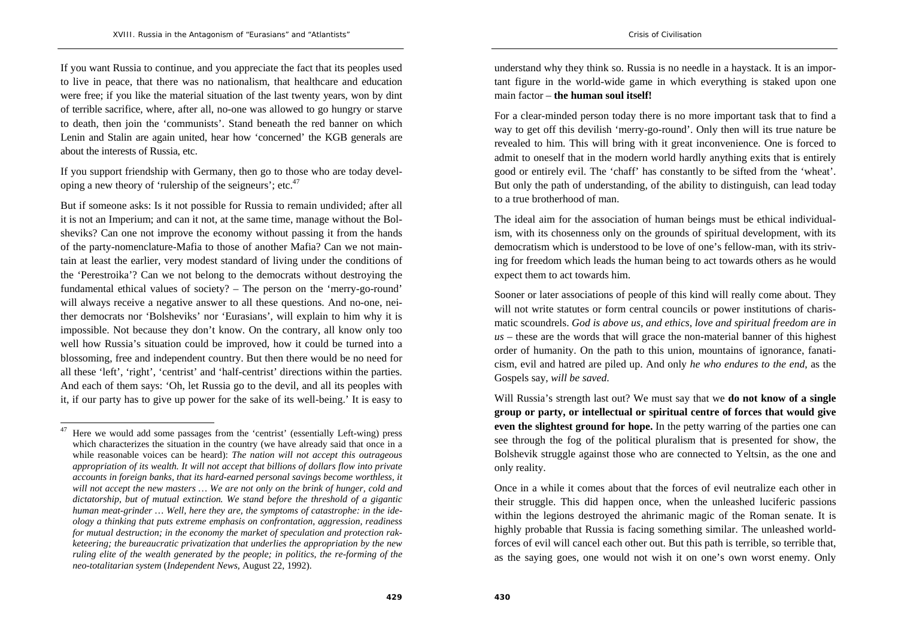If you want Russia to continue, and you appreciate the fact that its peoples used to live in peace, that there was no nationalism, that healthcare and education were free; if you like the material situation of the last twenty years, won by dint of terrible sacrifice, where, after all, no-one was allowed to go hungry or starve to death, then join the 'communists'. Stand beneath the red banner on which Lenin and Stalin are again united, hear how 'concerned' the KGB generals are about the interests of Russia, etc.

If you support friendship with Germany, then go to those who are today developing a new theory of 'rulership of the seigneurs'; etc. $47$ 

But if someone asks: Is it not possible for Russia to remain undivided; after all it is not an Imperium; and can it not, at the same time, manage without the Bolsheviks? Can one not improve the economy without passing it from the hands of the party-nomenclature-Mafia to those of another Mafia? Can we not maintain at least the earlier, very modest standard of living under the conditions of the 'Perestroika'? Can we not belong to the democrats without destroying the fundamental ethical values of society? – The person on the 'merry-go-round' will always receive a negative answer to all these questions. And no-one, neither democrats nor 'Bolsheviks' nor 'Eurasians', will explain to him why it is impossible. Not because they don't know. On the contrary, all know only too well how Russia's situation could be improved, how it could be turned into a blossoming, free and independent country. But then there would be no need for all these 'left', 'right', 'centrist' and 'half-centrist' directions within the parties. And each of them says: 'Oh, let Russia go to the devil, and all its peoples with it, if our party has to give up power for the sake of its well-being.' It is easy to

understand why they think so. Russia is no needle in a haystack. It is an important figure in the world-wide game in which everything is staked upon one main factor – **the human soul itself!**

For a clear-minded person today there is no more important task that to find a way to get off this devilish 'merry-go-round'. Only then will its true nature be revealed to him. This will bring with it great inconvenience. One is forced to admit to oneself that in the modern world hardly anything exits that is entirely good or entirely evil. The 'chaff' has constantly to be sifted from the 'wheat'. But only the path of understanding, of the ability to distinguish, can lead today to a true brotherhood of man.

The ideal aim for the association of human beings must be ethical individualism, with its chosenness only on the grounds of spiritual development, with its democratism which is understood to be love of one's fellow-man, with its striving for freedom which leads the human being to act towards others as he would expect them to act towards him.

Sooner or later associations of people of this kind will really come about. They will not write statutes or form central councils or power institutions of charismatic scoundrels. *God is above us, and ethics, love and spiritual freedom are in us* – these are the words that will grace the non-material banner of this highest order of humanity. On the path to this union, mountains of ignorance, fanaticism, evil and hatred are piled up. And only *he who endures to the end*, as the Gospels say, *will be saved*.

Will Russia's strength last out? We must say that we **do not know of a single group or party, or intellectual or spiritual centre of forces that would give even the slightest ground for hope.** In the petty warring of the parties one can see through the fog of the political pluralism that is presented for show, the Bolshevik struggle against those who are connected to Yeltsin, as the one and only reality.

 $47$  Here we would add some passages from the 'centrist' (essentially Left-wing) press which characterizes the situation in the country (we have already said that once in a while reasonable voices can be heard): *The nation will not accept this outrageous appropriation of its wealth. It will not accept that billions of dollars flow into private accounts in foreign banks, that its hard-earned personal savings become worthless, it will not accept the new masters … We are not only on the brink of hunger, cold and dictatorship, but of mutual extinction. We stand before the threshold of a gigantic human meat-grinder … Well, here they are, the symptoms of catastrophe: in the ideology a thinking that puts extreme emphasis on confrontation, aggression, readiness for mutual destruction; in the economy the market of speculation and protection rakketeering; the bureaucratic privatization that underlies the appropriation by the new ruling elite of the wealth generated by the people; in politics, the re-forming of the neo-totalitarian system* (*Independent News,* August 22, 1992).

Once in a while it comes about that the forces of evil neutralize each other in their struggle. This did happen once, when the unleashed luciferic passions within the legions destroyed the ahrimanic magic of the Roman senate. It is highly probable that Russia is facing something similar. The unleashed worldforces of evil will cancel each other out. But this path is terrible, so terrible that, as the saying goes, one would not wish it on one's own worst enemy. Only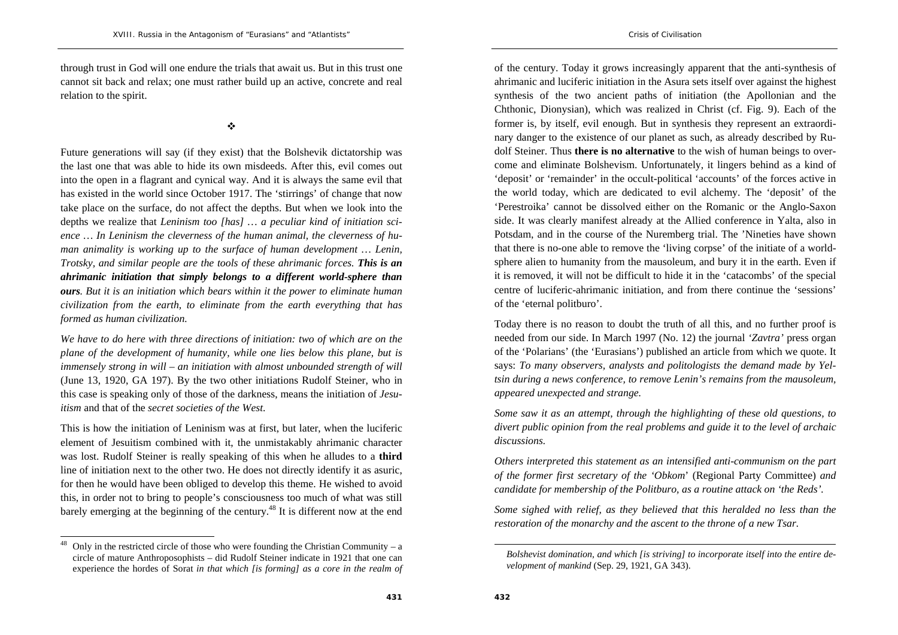through trust in God will one endure the trials that await us. But in this trust one cannot sit back and relax; one must rather build up an active, concrete and real relation to the spirit.

 $\frac{1}{2}$ 

Future generations will say (if they exist) that the Bolshevik dictatorship was the last one that was able to hide its own misdeeds. After this, evil comes out into the open in a flagrant and cynical way. And it is always the same evil that has existed in the world since October 1917. The 'stirrings' of change that now take place on the surface, do not affect the depths. But when we look into the depths we realize that *Leninism too [has] … a peculiar kind of initiation science … In Leninism the cleverness of the human animal, the cleverness of human animality is working up to the surface of human development … Lenin, Trotsky, and similar people are the tools of these ahrimanic forces. This is an ahrimanic initiation that simply belongs to a different world-sphere than ours. But it is an initiation which bears within it the power to eliminate human civilization from the earth, to eliminate from the earth everything that has formed as human civilization.* 

*We have to do here with three directions of initiation: two of which are on the plane of the development of humanity, while one lies below this plane, but is immensely strong in will – an initiation with almost unbounded strength of will*  (June 13, 1920, GA 197). By the two other initiations Rudolf Steiner, who in this case is speaking only of those of the darkness, means the initiation of *Jesuitism* and that of the *secret societies of the West*.

This is how the initiation of Leninism was at first, but later, when the luciferic element of Jesuitism combined with it, the unmistakably ahrimanic character was lost. Rudolf Steiner is really speaking of this when he alludes to a **third** line of initiation next to the other two. He does not directly identify it as asuric, for then he would have been obliged to develop this theme. He wished to avoid this, in order not to bring to people's consciousness too much of what was still barely emerging at the beginning of the century.<sup>48</sup> It is different now at the end

of the century. Today it grows increasingly apparent that the anti-synthesis of ahrimanic and luciferic initiation in the Asura sets itself over against the highest synthesis of the two ancient paths of initiation (the Apollonian and the Chthonic, Dionysian), which was realized in Christ (cf. Fig. 9). Each of the former is, by itself, evil enough. But in synthesis they represent an extraordinary danger to the existence of our planet as such, as already described by Rudolf Steiner. Thus **there is no alternative** to the wish of human beings to overcome and eliminate Bolshevism. Unfortunately, it lingers behind as a kind of 'deposit' or 'remainder' in the occult-political 'accounts' of the forces active in the world today, which are dedicated to evil alchemy. The 'deposit' of the 'Perestroika' cannot be dissolved either on the Romanic or the Anglo-Saxon side. It was clearly manifest already at the Allied conference in Yalta, also in Potsdam, and in the course of the Nuremberg trial. The 'Nineties have shown that there is no-one able to remove the 'living corpse' of the initiate of a worldsphere alien to humanity from the mausoleum, and bury it in the earth. Even if it is removed, it will not be difficult to hide it in the 'catacombs' of the special centre of luciferic-ahrimanic initiation, and from there continue the 'sessions' of the 'eternal politburo'.

Today there is no reason to doubt the truth of all this, and no further proof is needed from our side. In March 1997 (No. 12) the journal *'Zavtra'* press organ of the 'Polarians' (the 'Eurasians') published an article from which we quote. It says: *To many observers, analysts and politologists the demand made by Yeltsin during a news conference, to remove Lenin's remains from the mausoleum, appeared unexpected and strange.* 

*Some saw it as an attempt, through the highlighting of these old questions, to divert public opinion from the real problems and guide it to the level of archaic discussions.* 

*Others interpreted this statement as an intensified anti-communism on the part of the former first secretary of the 'Obkom*' (Regional Party Committee) *and candidate for membership of the Politburo, as a routine attack on 'the Reds'.* 

*Some sighed with relief, as they believed that this heralded no less than the restoration of the monarchy and the ascent to the throne of a new Tsar.* 

Only in the restricted circle of those who were founding the Christian Community – a circle of mature Anthroposophists – did Rudolf Steiner indicate in 1921 that one can experience the hordes of Sorat *in that which [is forming] as a core in the realm of* 

*Bolshevist domination, and which [is striving] to incorporate itself into the entire development of mankind* (Sep. 29, 1921, GA 343).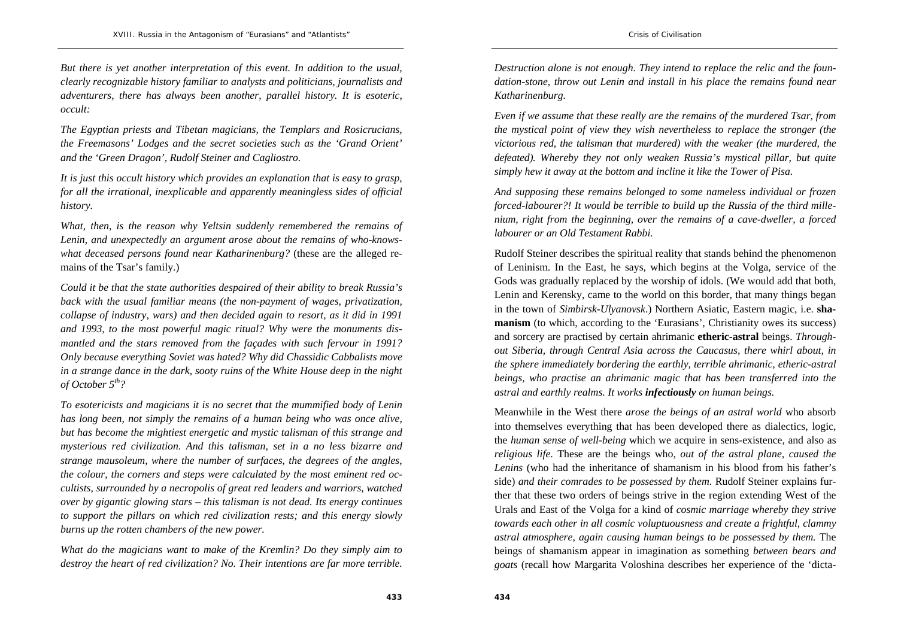*But there is yet another interpretation of this event. In addition to the usual, clearly recognizable history familiar to analysts and politicians, journalists and adventurers, there has always been another, parallel history. It is esoteric, occult:* 

*The Egyptian priests and Tibetan magicians, the Templars and Rosicrucians, the Freemasons' Lodges and the secret societies such as the 'Grand Orient' and the 'Green Dragon', Rudolf Steiner and Cagliostro.* 

*It is just this occult history which provides an explanation that is easy to grasp, for all the irrational, inexplicable and apparently meaningless sides of official history.* 

*What, then, is the reason why Yeltsin suddenly remembered the remains of Lenin, and unexpectedly an argument arose about the remains of who-knowswhat deceased persons found near Katharinenburg?* (these are the alleged remains of the Tsar's family.)

*Could it be that the state authorities despaired of their ability to break Russia's back with the usual familiar means (the non-payment of wages, privatization, collapse of industry, wars) and then decided again to resort, as it did in 1991 and 1993, to the most powerful magic ritual? Why were the monuments dismantled and the stars removed from the façades with such fervour in 1991? Only because everything Soviet was hated? Why did Chassidic Cabbalists move in a strange dance in the dark, sooty ruins of the White House deep in the night of October 5th?* 

*To esotericists and magicians it is no secret that the mummified body of Lenin has long been, not simply the remains of a human being who was once alive, but has become the mightiest energetic and mystic talisman of this strange and mysterious red civilization. And this talisman, set in a no less bizarre and strange mausoleum, where the number of surfaces, the degrees of the angles, the colour, the corners and steps were calculated by the most eminent red occultists, surrounded by a necropolis of great red leaders and warriors, watched over by gigantic glowing stars – this talisman is not dead. Its energy continues to support the pillars on which red civilization rests; and this energy slowly burns up the rotten chambers of the new power.* 

*What do the magicians want to make of the Kremlin? Do they simply aim to destroy the heart of red civilization? No. Their intentions are far more terrible.* 

*Destruction alone is not enough. They intend to replace the relic and the foundation-stone, throw out Lenin and install in his place the remains found near Katharinenburg.* 

*Even if we assume that these really are the remains of the murdered Tsar, from the mystical point of view they wish nevertheless to replace the stronger (the victorious red, the talisman that murdered) with the weaker (the murdered, the defeated). Whereby they not only weaken Russia's mystical pillar, but quite simply hew it away at the bottom and incline it like the Tower of Pisa.* 

*And supposing these remains belonged to some nameless individual or frozen forced-labourer?! It would be terrible to build up the Russia of the third millenium, right from the beginning, over the remains of a cave-dweller, a forced labourer or an Old Testament Rabbi.* 

Rudolf Steiner describes the spiritual reality that stands behind the phenomenon of Leninism. In the East, he says, which begins at the Volga, service of the Gods was gradually replaced by the worship of idols. (We would add that both, Lenin and Kerensky, came to the world on this border, that many things began in the town of *Simbirsk-Ulyanovsk*.) Northern Asiatic, Eastern magic, i.e. **shamanism** (to which, according to the 'Eurasians', Christianity owes its success) and sorcery are practised by certain ahrimanic **etheric-astral** beings. *Throughout Siberia, through Central Asia across the Caucasus, there whirl about, in the sphere immediately bordering the earthly, terrible ahrimanic, etheric-astral beings, who practise an ahrimanic magic that has been transferred into the astral and earthly realms. It works infectiously on human beings.*

Meanwhile in the West there *arose the beings of an astral world* who absorb into themselves everything that has been developed there as dialectics, logic, the *human sense of well-being* which we acquire in sens-existence, and also as *religious life*. These are the beings who*, out of the astral plane, caused the Lenins* (who had the inheritance of shamanism in his blood from his father's side) *and their comrades to be possessed by them*. Rudolf Steiner explains further that these two orders of beings strive in the region extending West of the Urals and East of the Volga for a kind of *cosmic marriage whereby they strive towards each other in all cosmic voluptuousness and create a frightful, clammy astral atmosphere, again causing human beings to be possessed by them.* The beings of shamanism appear in imagination as something *between bears and goats* (recall how Margarita Voloshina describes her experience of the 'dicta-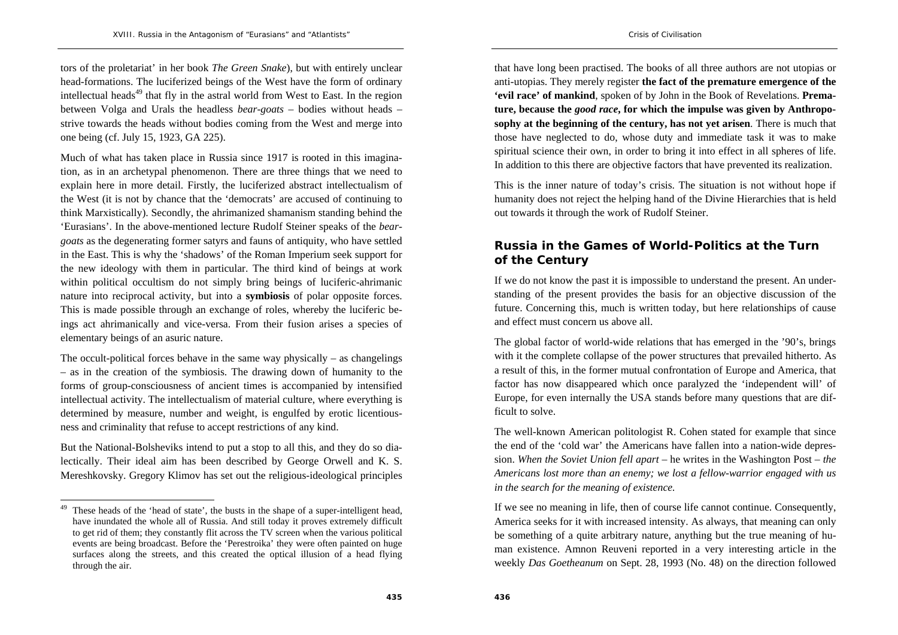tors of the proletariat' in her book *The Green Snake*), but with entirely unclear head-formations. The luciferized beings of the West have the form of ordinary intellectual heads<sup>49</sup> that fly in the astral world from West to East. In the region between Volga and Urals the headless *bear-goats* – bodies without heads – strive towards the heads without bodies coming from the West and merge into one being (cf. July 15, 1923, GA 225).

Much of what has taken place in Russia since 1917 is rooted in this imagination, as in an archetypal phenomenon. There are three things that we need to explain here in more detail. Firstly, the luciferized abstract intellectualism of the West (it is not by chance that the 'democrats' are accused of continuing to think Marxistically). Secondly, the ahrimanized shamanism standing behind the 'Eurasians'. In the above-mentioned lecture Rudolf Steiner speaks of the *beargoats* as the degenerating former satyrs and fauns of antiquity, who have settled in the East. This is why the 'shadows' of the Roman Imperium seek support for the new ideology with them in particular. The third kind of beings at work within political occultism do not simply bring beings of luciferic-ahrimanic nature into reciprocal activity, but into a **symbiosis** of polar opposite forces. This is made possible through an exchange of roles, whereby the luciferic beings act ahrimanically and vice-versa. From their fusion arises a species of elementary beings of an asuric nature.

The occult-political forces behave in the same way physically  $-$  as changelings – as in the creation of the symbiosis. The drawing down of humanity to the forms of group-consciousness of ancient times is accompanied by intensified intellectual activity. The intellectualism of material culture, where everything is determined by measure, number and weight, is engulfed by erotic licentiousness and criminality that refuse to accept restrictions of any kind.

But the National-Bolsheviks intend to put a stop to all this, and they do so dialectically. Their ideal aim has been described by George Orwell and K. S. Mereshkovsky. Gregory Klimov has set out the religious-ideological principles that have long been practised. The books of all three authors are not utopias or anti-utopias. They merely register **the fact of the premature emergence of the 'evil race' of mankind**, spoken of by John in the Book of Revelations. **Premature, because the** *good race***, for which the impulse was given by Anthroposophy at the beginning of the century, has not yet arisen**. There is much that those have neglected to do, whose duty and immediate task it was to make spiritual science their own, in order to bring it into effect in all spheres of life. In addition to this there are objective factors that have prevented its realization.

This is the inner nature of today's crisis. The situation is not without hope if humanity does not reject the helping hand of the Divine Hierarchies that is held out towards it through the work of Rudolf Steiner.

# **Russia in the Games of World-Politics at the Turn of the Century**

If we do not know the past it is impossible to understand the present. An understanding of the present provides the basis for an objective discussion of the future. Concerning this, much is written today, but here relationships of cause and effect must concern us above all.

The global factor of world-wide relations that has emerged in the '90's, brings with it the complete collapse of the power structures that prevailed hitherto. As a result of this, in the former mutual confrontation of Europe and America, that factor has now disappeared which once paralyzed the 'independent will' of Europe, for even internally the USA stands before many questions that are difficult to solve.

The well-known American politologist R. Cohen stated for example that since the end of the 'cold war' the Americans have fallen into a nation-wide depression. *When the Soviet Union fell apart* – he writes in the Washington Post – *the Americans lost more than an enemy; we lost a fellow-warrior engaged with us in the search for the meaning of existence.* 

If we see no meaning in life, then of course life cannot continue. Consequently, America seeks for it with increased intensity. As always, that meaning can only be something of a quite arbitrary nature, anything but the true meaning of human existence. Amnon Reuveni reported in a very interesting article in the weekly *Das Goetheanum* on Sept. 28, 1993 (No. 48) on the direction followed

<sup>&</sup>lt;sup>49</sup> These heads of the 'head of state', the busts in the shape of a super-intelligent head, have inundated the whole all of Russia. And still today it proves extremely difficult to get rid of them; they constantly flit across the TV screen when the various political events are being broadcast. Before the 'Perestroika' they were often painted on huge surfaces along the streets, and this created the optical illusion of a head flying through the air.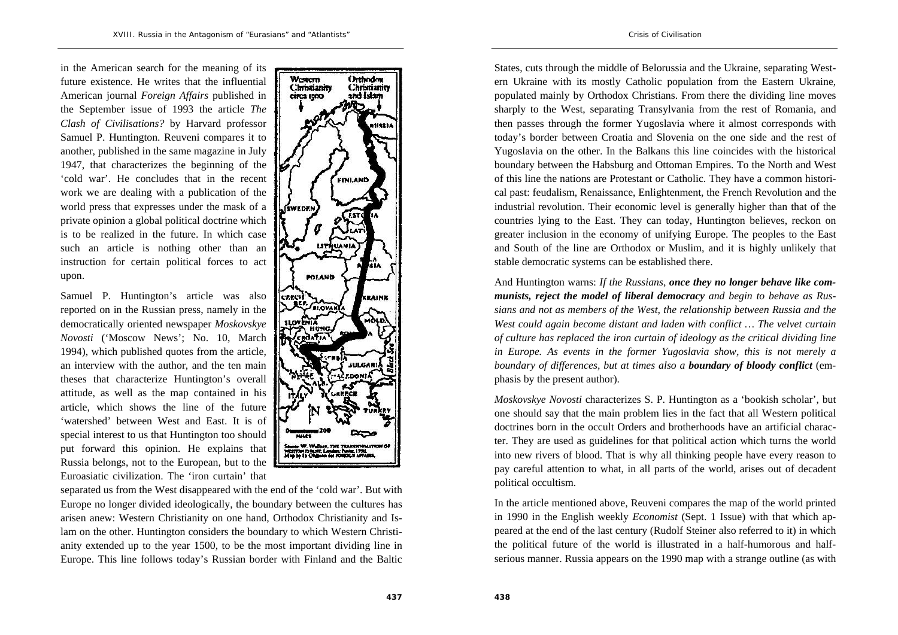in the American search for the meaning of its future existence. He writes that the influential American journal *Foreign Affairs* published in the September issue of 1993 the article *The Clash of Civilisations?* by Harvard professor Samuel P. Huntington. Reuveni compares it to another, published in the same magazine in July 1947, that characterizes the beginning of the 'cold war'. He concludes that in the recent work we are dealing with a publication of the world press that expresses under the mask of a private opinion a global political doctrine which is to be realized in the future. In which case such an article is nothing other than an instruction for certain political forces to act upon.

Samuel P. Huntington's article was also reported on in the Russian press, namely in the democratically oriented newspaper *Moskovskye Novosti* ('Moscow News'; No. 10, March 1994), which published quotes from the article, an interview with the author, and the ten main theses that characterize Huntington's overall attitude, as well as the map contained in his article, which shows the line of the future 'watershed' between West and East. It is of special interest to us that Huntington too should put forward this opinion. He explains that Russia belongs, not to the European, but to the Euroasiatic civilization. The 'iron curtain' that



separated us from the West disappeared with the end of the 'cold war'. But with Europe no longer divided ideologically, the boundary between the cultures has arisen anew: Western Christianity on one hand, Orthodox Christianity and Islam on the other. Huntington considers the boundary to which Western Christianity extended up to the year 1500, to be the most important dividing line in Europe. This line follows today's Russian border with Finland and the Baltic States, cuts through the middle of Belorussia and the Ukraine, separating Western Ukraine with its mostly Catholic population from the Eastern Ukraine, populated mainly by Orthodox Christians. From there the dividing line moves sharply to the West, separating Transylvania from the rest of Romania, and then passes through the former Yugoslavia where it almost corresponds with today's border between Croatia and Slovenia on the one side and the rest of Yugoslavia on the other. In the Balkans this line coincides with the historical boundary between the Habsburg and Ottoman Empires. To the North and West of this line the nations are Protestant or Catholic. They have a common historical past: feudalism, Renaissance, Enlightenment, the French Revolution and the industrial revolution. Their economic level is generally higher than that of the countries lying to the East. They can today, Huntington believes, reckon on greater inclusion in the economy of unifying Europe. The peoples to the East and South of the line are Orthodox or Muslim, and it is highly unlikely that stable democratic systems can be established there.

And Huntington warns: *If the Russians, once they no longer behave like communists, reject the model of liberal democracy and begin to behave as Russians and not as members of the West, the relationship between Russia and the West could again become distant and laden with conflict … The velvet curtain of culture has replaced the iron curtain of ideology as the critical dividing line in Europe. As events in the former Yugoslavia show, this is not merely a boundary of differences, but at times also a boundary of bloody conflict* (emphasis by the present author).

*Moskovskye Novosti* characterizes S. P. Huntington as a 'bookish scholar', but one should say that the main problem lies in the fact that all Western political doctrines born in the occult Orders and brotherhoods have an artificial character. They are used as guidelines for that political action which turns the world into new rivers of blood. That is why all thinking people have every reason to pay careful attention to what, in all parts of the world, arises out of decadent political occultism.

In the article mentioned above, Reuveni compares the map of the world printed in 1990 in the English weekly *Economist* (Sept. 1 Issue) with that which appeared at the end of the last century (Rudolf Steiner also referred to it) in which the political future of the world is illustrated in a half-humorous and halfserious manner. Russia appears on the 1990 map with a strange outline (as with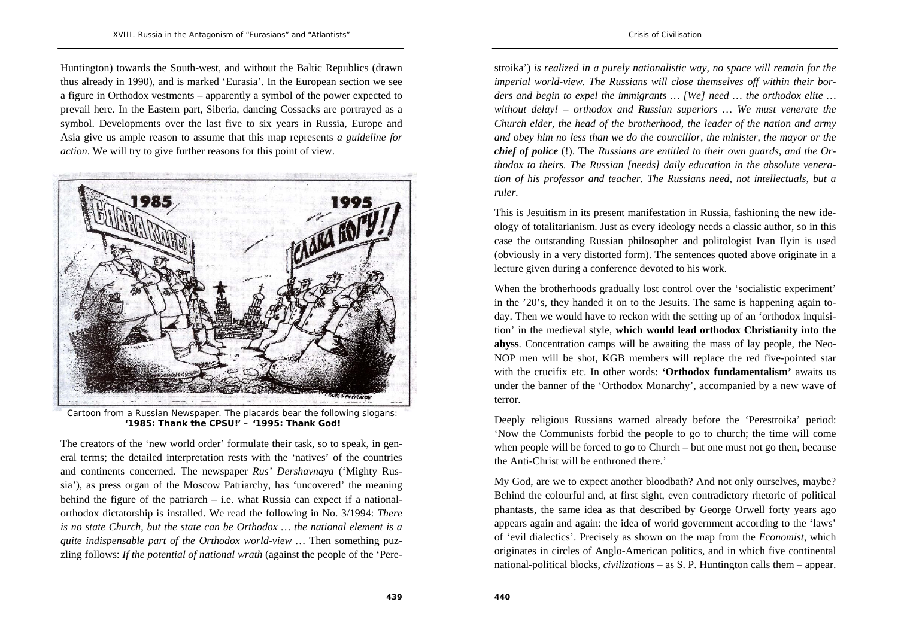Huntington) towards the South-west, and without the Baltic Republics (drawn thus already in 1990), and is marked 'Eurasia'. In the European section we see a figure in Orthodox vestments – apparently a symbol of the power expected to prevail here. In the Eastern part, Siberia, dancing Cossacks are portrayed as a symbol. Developments over the last five to six years in Russia, Europe and Asia give us ample reason to assume that this map represents *a guideline for action*. We will try to give further reasons for this point of view.



Cartoon from a Russian Newspaper. The placards bear the following slogans: **'1985: Thank the CPSU!' – '1995: Thank God!**

The creators of the 'new world order' formulate their task, so to speak, in general terms; the detailed interpretation rests with the 'natives' of the countries and continents concerned. The newspaper *Rus' Dershavnaya* ('Mighty Russia'), as press organ of the Moscow Patriarchy, has 'uncovered' the meaning behind the figure of the patriarch – i.e. what Russia can expect if a nationalorthodox dictatorship is installed. We read the following in No. 3/1994: *There is no state Church, but the state can be Orthodox … the national element is a quite indispensable part of the Orthodox world-view …* Then something puzzling follows: *If the potential of national wrath* (against the people of the 'Perestroika') *is realized in a purely nationalistic way, no space will remain for the imperial world-view. The Russians will close themselves off within their borders and begin to expel the immigrants … [We] need … the orthodox elite … without delay! – orthodox and Russian superiors … We must venerate the Church elder, the head of the brotherhood, the leader of the nation and army and obey him no less than we do the councillor, the minister, the mayor or the chief of police* (!). The *Russians are entitled to their own guards, and the Orthodox to theirs. The Russian [needs] daily education in the absolute veneration of his professor and teacher. The Russians need, not intellectuals, but a ruler.*

This is Jesuitism in its present manifestation in Russia, fashioning the new ideology of totalitarianism. Just as every ideology needs a classic author, so in this case the outstanding Russian philosopher and politologist Ivan Ilyin is used (obviously in a very distorted form). The sentences quoted above originate in a lecture given during a conference devoted to his work.

When the brotherhoods gradually lost control over the 'socialistic experiment' in the '20's, they handed it on to the Jesuits. The same is happening again today. Then we would have to reckon with the setting up of an 'orthodox inquisition' in the medieval style, **which would lead orthodox Christianity into the abyss**. Concentration camps will be awaiting the mass of lay people, the Neo-NOP men will be shot, KGB members will replace the red five-pointed star with the crucifix etc. In other words: **'Orthodox fundamentalism'** awaits us under the banner of the 'Orthodox Monarchy', accompanied by a new wave of terror.

Deeply religious Russians warned already before the 'Perestroika' period: 'Now the Communists forbid the people to go to church; the time will come when people will be forced to go to Church – but one must not go then, because the Anti-Christ will be enthroned there.'

My God, are we to expect another bloodbath? And not only ourselves, maybe? Behind the colourful and, at first sight, even contradictory rhetoric of political phantasts, the same idea as that described by George Orwell forty years ago appears again and again: the idea of world government according to the 'laws' of 'evil dialectics'. Precisely as shown on the map from the *Economist*, which originates in circles of Anglo-American politics, and in which five continental national-political blocks, *civilizations* – as S. P. Huntington calls them – appear.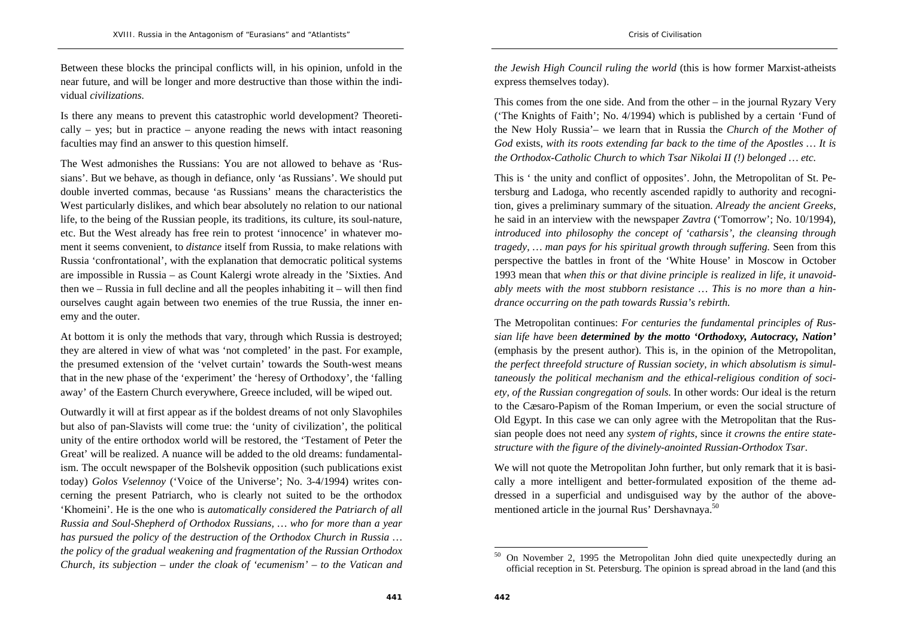Between these blocks the principal conflicts will, in his opinion, unfold in the near future, and will be longer and more destructive than those within the individual *civilizations*.

Is there any means to prevent this catastrophic world development? Theoretically  $-$  yes; but in practice  $-$  anyone reading the news with intact reasoning faculties may find an answer to this question himself.

The West admonishes the Russians: You are not allowed to behave as 'Russians'. But we behave, as though in defiance, only 'as Russians'. We should put double inverted commas, because 'as Russians' means the characteristics the West particularly dislikes, and which bear absolutely no relation to our national life, to the being of the Russian people, its traditions, its culture, its soul-nature, etc. But the West already has free rein to protest 'innocence' in whatever moment it seems convenient, to *distance* itself from Russia, to make relations with Russia 'confrontational', with the explanation that democratic political systems are impossible in Russia – as Count Kalergi wrote already in the 'Sixties. And then  $we$  – Russia in full decline and all the peoples inhabiting it – will then find ourselves caught again between two enemies of the true Russia, the inner enemy and the outer.

At bottom it is only the methods that vary, through which Russia is destroyed; they are altered in view of what was 'not completed' in the past. For example, the presumed extension of the 'velvet curtain' towards the South-west means that in the new phase of the 'experiment' the 'heresy of Orthodoxy', the 'falling away' of the Eastern Church everywhere, Greece included, will be wiped out.

Outwardly it will at first appear as if the boldest dreams of not only Slavophiles but also of pan-Slavists will come true: the 'unity of civilization', the political unity of the entire orthodox world will be restored, the 'Testament of Peter the Great' will be realized. A nuance will be added to the old dreams: fundamentalism. The occult newspaper of the Bolshevik opposition (such publications exist today) *Golos Vselennoy* ('Voice of the Universe'; No. 3-4/1994) writes concerning the present Patriarch, who is clearly not suited to be the orthodox 'Khomeini'. He is the one who is *automatically considered the Patriarch of all Russia and Soul-Shepherd of Orthodox Russians, … who for more than a year has pursued the policy of the destruction of the Orthodox Church in Russia … the policy of the gradual weakening and fragmentation of the Russian Orthodox Church, its subjection – under the cloak of 'ecumenism' – to the Vatican and* 

*the Jewish High Council ruling the world* (this is how former Marxist-atheists express themselves today).

This comes from the one side. And from the other – in the journal Ryzary Very ('The Knights of Faith'; No. 4/1994) which is published by a certain 'Fund of the New Holy Russia'– we learn that in Russia the *Church of the Mother of God* exists, *with its roots extending far back to the time of the Apostles … It is the Orthodox-Catholic Church to which Tsar Nikolai II (!) belonged … etc.*

This is ' the unity and conflict of opposites'. John, the Metropolitan of St. Petersburg and Ladoga, who recently ascended rapidly to authority and recognition, gives a preliminary summary of the situation. *Already the ancient Greeks*, he said in an interview with the newspaper *Zavtra* ('Tomorrow'; No. 10/1994), *introduced into philosophy the concept of 'catharsis', the cleansing through tragedy, … man pays for his spiritual growth through suffering.* Seen from this perspective the battles in front of the 'White House' in Moscow in October 1993 mean that *when this or that divine principle is realized in life, it unavoidably meets with the most stubborn resistance … This is no more than a hindrance occurring on the path towards Russia's rebirth.*

The Metropolitan continues: *For centuries the fundamental principles of Russian life have been determined by the motto 'Orthodoxy, Autocracy, Nation'*  (emphasis by the present author). This is, in the opinion of the Metropolitan, *the perfect threefold structure of Russian society, in which absolutism is simultaneously the political mechanism and the ethical-religious condition of society, of the Russian congregation of souls*. In other words: Our ideal is the return to the Cæsaro-Papism of the Roman Imperium, or even the social structure of Old Egypt. In this case we can only agree with the Metropolitan that the Russian people does not need any *system of rights*, since *it crowns the entire statestructure with the figure of the divinely-anointed Russian-Orthodox Tsar*.

We will not quote the Metropolitan John further, but only remark that it is basically a more intelligent and better-formulated exposition of the theme addressed in a superficial and undisguised way by the author of the abovementioned article in the journal Rus' Dershavnaya.<sup>50</sup>

<sup>50</sup> On November 2, 1995 the Metropolitan John died quite unexpectedly during an official reception in St. Petersburg. The opinion is spread abroad in the land (and this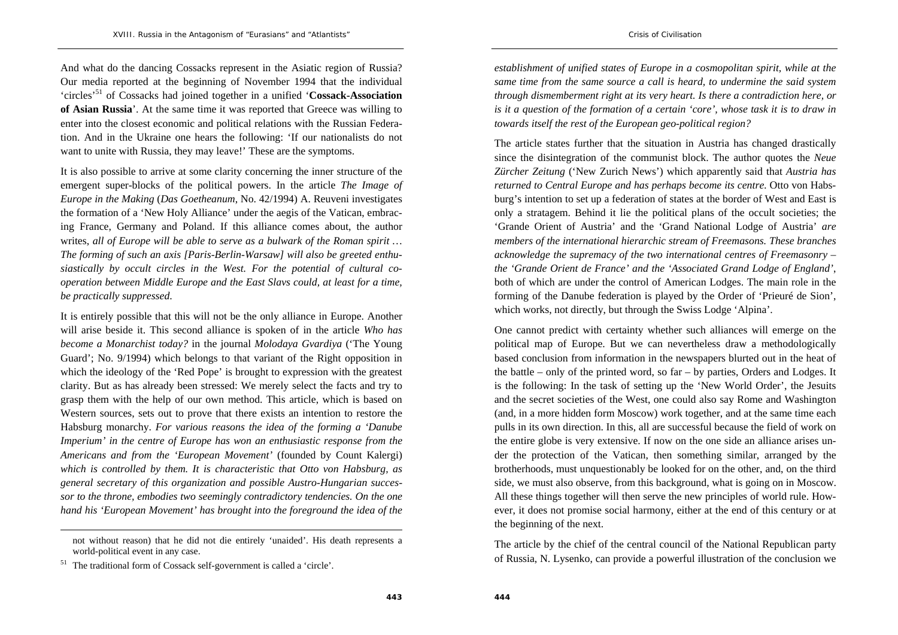And what do the dancing Cossacks represent in the Asiatic region of Russia? Our media reported at the beginning of November 1994 that the individual 'circles'51 of Cossacks had joined together in a unified '**Cossack-Association of Asian Russia**'. At the same time it was reported that Greece was willing to enter into the closest economic and political relations with the Russian Federation. And in the Ukraine one hears the following: 'If our nationalists do not want to unite with Russia, they may leave!' These are the symptoms.

It is also possible to arrive at some clarity concerning the inner structure of the emergent super-blocks of the political powers. In the article *The Image of Europe in the Making* (*Das Goetheanum*, No. 42/1994) A. Reuveni investigates the formation of a 'New Holy Alliance' under the aegis of the Vatican, embracing France, Germany and Poland. If this alliance comes about, the author writes, *all of Europe will be able to serve as a bulwark of the Roman spirit … The forming of such an axis [Paris-Berlin-Warsaw] will also be greeted enthusiastically by occult circles in the West. For the potential of cultural cooperation between Middle Europe and the East Slavs could, at least for a time, be practically suppressed*.

It is entirely possible that this will not be the only alliance in Europe. Another will arise beside it. This second alliance is spoken of in the article *Who has become a Monarchist today?* in the journal *Molodaya Gvardiya* ('The Young Guard'; No. 9/1994) which belongs to that variant of the Right opposition in which the ideology of the 'Red Pope' is brought to expression with the greatest clarity. But as has already been stressed: We merely select the facts and try to grasp them with the help of our own method. This article, which is based on Western sources, sets out to prove that there exists an intention to restore the Habsburg monarchy. *For various reasons the idea of the forming a 'Danube Imperium' in the centre of Europe has won an enthusiastic response from the Americans and from the 'European Movement'* (founded by Count Kalergi) *which is controlled by them. It is characteristic that Otto von Habsburg, as general secretary of this organization and possible Austro-Hungarian successor to the throne, embodies two seemingly contradictory tendencies. On the one hand his 'European Movement' has brought into the foreground the idea of the*  *establishment of unified states of Europe in a cosmopolitan spirit, while at the same time from the same source a call is heard, to undermine the said system through dismemberment right at its very heart. Is there a contradiction here, or is it a question of the formation of a certain 'core', whose task it is to draw in towards itself the rest of the European geo-political region?*

The article states further that the situation in Austria has changed drastically since the disintegration of the communist block. The author quotes the *Neue Zürcher Zeitung* ('New Zurich News') which apparently said that *Austria has returned to Central Europe and has perhaps become its centre.* Otto von Habsburg's intention to set up a federation of states at the border of West and East is only a stratagem. Behind it lie the political plans of the occult societies; the 'Grande Orient of Austria' and the 'Grand National Lodge of Austria' *are members of the international hierarchic stream of Freemasons. These branches acknowledge the supremacy of the two international centres of Freemasonry – the 'Grande Orient de France' and the 'Associated Grand Lodge of England'*, both of which are under the control of American Lodges. The main role in the forming of the Danube federation is played by the Order of 'Prieuré de Sion', which works, not directly, but through the Swiss Lodge 'Alpina'.

One cannot predict with certainty whether such alliances will emerge on the political map of Europe. But we can nevertheless draw a methodologically based conclusion from information in the newspapers blurted out in the heat of the battle – only of the printed word, so far – by parties, Orders and Lodges. It is the following: In the task of setting up the 'New World Order', the Jesuits and the secret societies of the West, one could also say Rome and Washington (and, in a more hidden form Moscow) work together, and at the same time each pulls in its own direction. In this, all are successful because the field of work on the entire globe is very extensive. If now on the one side an alliance arises under the protection of the Vatican, then something similar, arranged by the brotherhoods, must unquestionably be looked for on the other, and, on the third side, we must also observe, from this background, what is going on in Moscow. All these things together will then serve the new principles of world rule. However, it does not promise social harmony, either at the end of this century or at the beginning of the next.

The article by the chief of the central council of the National Republican party of Russia, N. Lysenko, can provide a powerful illustration of the conclusion we

not without reason) that he did not die entirely 'unaided'. His death represents a world-political event in any case.

<sup>51</sup> The traditional form of Cossack self-government is called a 'circle'.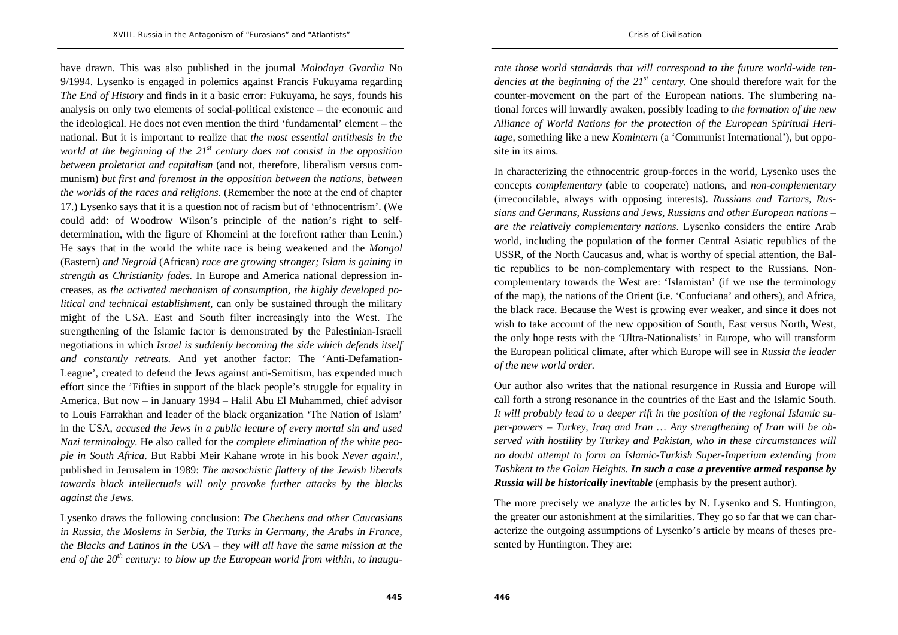have drawn. This was also published in the journal *Molodaya Gvardia* No 9/1994. Lysenko is engaged in polemics against Francis Fukuyama regarding *The End of History* and finds in it a basic error: Fukuyama, he says, founds his analysis on only two elements of social-political existence – the economic and the ideological. He does not even mention the third 'fundamental' element – the national. But it is important to realize that *the most essential antithesis in the world at the beginning of the 21<sup>st</sup> century does not consist in the opposition between proletariat and capitalism* (and not, therefore, liberalism versus communism) *but first and foremost in the opposition between the nations, between the worlds of the races and religions.* (Remember the note at the end of chapter 17.) Lysenko says that it is a question not of racism but of 'ethnocentrism'. (We could add: of Woodrow Wilson's principle of the nation's right to selfdetermination, with the figure of Khomeini at the forefront rather than Lenin.) He says that in the world the white race is being weakened and the *Mongol* (Eastern) *and Negroid* (African) *race are growing stronger; Islam is gaining in strength as Christianity fades.* In Europe and America national depression increases, as *the activated mechanism of consumption, the highly developed political and technical establishment*, can only be sustained through the military might of the USA. East and South filter increasingly into the West. The strengthening of the Islamic factor is demonstrated by the Palestinian-Israeli negotiations in which *Israel is suddenly becoming the side which defends itself and constantly retreats.* And yet another factor: The 'Anti-Defamation-League', created to defend the Jews against anti-Semitism, has expended much effort since the 'Fifties in support of the black people's struggle for equality in America. But now – in January 1994 – Halil Abu El Muhammed, chief advisor to Louis Farrakhan and leader of the black organization 'The Nation of Islam' in the USA, *accused the Jews in a public lecture of every mortal sin and used Nazi terminology*. He also called for the *complete elimination of the white people in South Africa*. But Rabbi Meir Kahane wrote in his book *Never again!,* published in Jerusalem in 1989: *The masochistic flattery of the Jewish liberals towards black intellectuals will only provoke further attacks by the blacks against the Jews.*

Lysenko draws the following conclusion: *The Chechens and other Caucasians in Russia, the Moslems in Serbia, the Turks in Germany, the Arabs in France, the Blacks and Latinos in the USA – they will all have the same mission at the end of the 20th century: to blow up the European world from within, to inaugu-* *rate those world standards that will correspond to the future world-wide tendencies at the beginning of the 21<sup>st</sup> century.* One should therefore wait for the counter-movement on the part of the European nations. The slumbering national forces will inwardly awaken, possibly leading to *the formation of the new Alliance of World Nations for the protection of the European Spiritual Heritage,* something like a new *Komintern* (a 'Communist International'), but opposite in its aims.

In characterizing the ethnocentric group-forces in the world, Lysenko uses the concepts *complementary* (able to cooperate) nations, and *non-complementary* (irreconcilable, always with opposing interests). *Russians and Tartars, Russians and Germans, Russians and Jews, Russians and other European nations – are the relatively complementary nations*. Lysenko considers the entire Arab world, including the population of the former Central Asiatic republics of the USSR, of the North Caucasus and, what is worthy of special attention, the Baltic republics to be non-complementary with respect to the Russians. Noncomplementary towards the West are: 'Islamistan' (if we use the terminology of the map), the nations of the Orient (i.e. 'Confuciana' and others), and Africa, the black race. Because the West is growing ever weaker, and since it does not wish to take account of the new opposition of South, East versus North, West, the only hope rests with the 'Ultra-Nationalists' in Europe, who will transform the European political climate, after which Europe will see in *Russia the leader of the new world order.*

Our author also writes that the national resurgence in Russia and Europe will call forth a strong resonance in the countries of the East and the Islamic South. *It will probably lead to a deeper rift in the position of the regional Islamic super-powers – Turkey, Iraq and Iran … Any strengthening of Iran will be observed with hostility by Turkey and Pakistan, who in these circumstances will no doubt attempt to form an Islamic-Turkish Super-Imperium extending from Tashkent to the Golan Heights. In such a case a preventive armed response by Russia will be historically inevitable* (emphasis by the present author).

The more precisely we analyze the articles by N. Lysenko and S. Huntington, the greater our astonishment at the similarities. They go so far that we can characterize the outgoing assumptions of Lysenko's article by means of theses presented by Huntington. They are: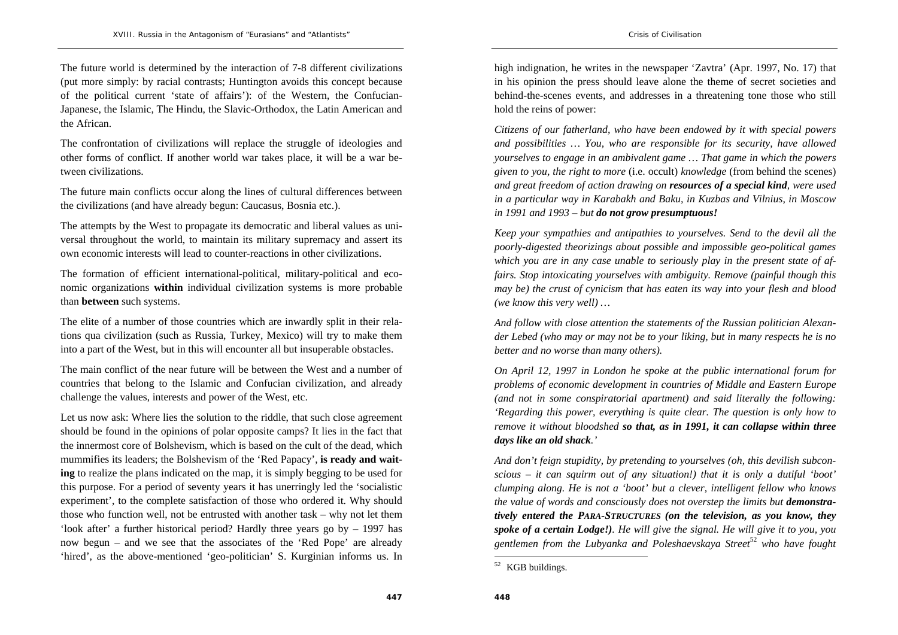The future world is determined by the interaction of 7-8 different civilizations (put more simply: by racial contrasts; Huntington avoids this concept because of the political current 'state of affairs'): of the Western, the Confucian-Japanese, the Islamic, The Hindu, the Slavic-Orthodox, the Latin American and the African.

The confrontation of civilizations will replace the struggle of ideologies and other forms of conflict. If another world war takes place, it will be a war between civilizations.

The future main conflicts occur along the lines of cultural differences between the civilizations (and have already begun: Caucasus, Bosnia etc.).

The attempts by the West to propagate its democratic and liberal values as universal throughout the world, to maintain its military supremacy and assert its own economic interests will lead to counter-reactions in other civilizations.

The formation of efficient international-political, military-political and economic organizations **within** individual civilization systems is more probable than **between** such systems.

The elite of a number of those countries which are inwardly split in their relations qua civilization (such as Russia, Turkey, Mexico) will try to make them into a part of the West, but in this will encounter all but insuperable obstacles.

The main conflict of the near future will be between the West and a number of countries that belong to the Islamic and Confucian civilization, and already challenge the values, interests and power of the West, etc.

Let us now ask: Where lies the solution to the riddle, that such close agreement should be found in the opinions of polar opposite camps? It lies in the fact that the innermost core of Bolshevism, which is based on the cult of the dead, which mummifies its leaders; the Bolshevism of the 'Red Papacy', **is ready and waiting** to realize the plans indicated on the map, it is simply begging to be used for this purpose. For a period of seventy years it has unerringly led the 'socialistic experiment', to the complete satisfaction of those who ordered it. Why should those who function well, not be entrusted with another task – why not let them 'look after' a further historical period? Hardly three years go by – 1997 has now begun – and we see that the associates of the 'Red Pope' are already 'hired', as the above-mentioned 'geo-politician' S. Kurginian informs us. In

high indignation, he writes in the newspaper 'Zavtra' (Apr. 1997, No. 17) that in his opinion the press should leave alone the theme of secret societies and behind-the-scenes events, and addresses in a threatening tone those who still hold the reins of power:

*Citizens of our fatherland, who have been endowed by it with special powers and possibilities … You, who are responsible for its security, have allowed yourselves to engage in an ambivalent game … That game in which the powers given to you, the right to more* (i.e. occult) *knowledge* (from behind the scenes) *and great freedom of action drawing on resources of a special kind, were used in a particular way in Karabakh and Baku, in Kuzbas and Vilnius, in Moscow in 1991 and 1993 – but do not grow presumptuous!*

*Keep your sympathies and antipathies to yourselves. Send to the devil all the poorly-digested theorizings about possible and impossible geo-political games which you are in any case unable to seriously play in the present state of affairs. Stop intoxicating yourselves with ambiguity. Remove (painful though this may be) the crust of cynicism that has eaten its way into your flesh and blood (we know this very well) …* 

*And follow with close attention the statements of the Russian politician Alexander Lebed (who may or may not be to your liking, but in many respects he is no better and no worse than many others).* 

*On April 12, 1997 in London he spoke at the public international forum for problems of economic development in countries of Middle and Eastern Europe (and not in some conspiratorial apartment) and said literally the following: 'Regarding this power, everything is quite clear. The question is only how to remove it without bloodshed so that, as in 1991, it can collapse within three days like an old shack.'* 

*And don't feign stupidity, by pretending to yourselves (oh, this devilish subconscious – it can squirm out of any situation!) that it is only a dutiful 'boot' clumping along. He is not a 'boot' but a clever, intelligent fellow who knows the value of words and consciously does not overstep the limits but demonstratively entered the PARA-STRUCTURES (on the television, as you know, they spoke of a certain Lodge!). He will give the signal. He will give it to you, you gentlemen from the Lubyanka and Poleshaevskaya Street*<sup>52</sup> *who have fought* 

<sup>&</sup>lt;sup>52</sup> KGB buildings.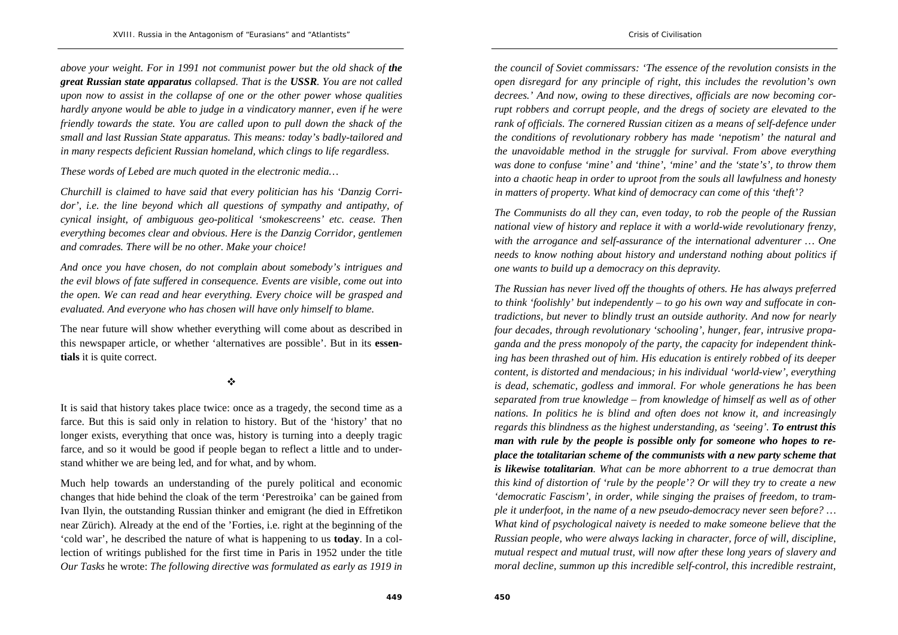*above your weight. For in 1991 not communist power but the old shack of the great Russian state apparatus collapsed. That is the USSR. You are not called upon now to assist in the collapse of one or the other power whose qualities hardly anyone would be able to judge in a vindicatory manner, even if he were friendly towards the state. You are called upon to pull down the shack of the small and last Russian State apparatus. This means: today's badly-tailored and in many respects deficient Russian homeland, which clings to life regardless.* 

*These words of Lebed are much quoted in the electronic media…* 

*Churchill is claimed to have said that every politician has his 'Danzig Corri*dor', *i.e. the line beyond which all questions of sympathy and antipathy, of cynical insight, of ambiguous geo-political 'smokescreens' etc. cease. Then everything becomes clear and obvious. Here is the Danzig Corridor, gentlemen and comrades. There will be no other. Make your choice!* 

*And once you have chosen, do not complain about somebody's intrigues and the evil blows of fate suffered in consequence. Events are visible, come out into the open. We can read and hear everything. Every choice will be grasped and evaluated. And everyone who has chosen will have only himself to blame.* 

The near future will show whether everything will come about as described in this newspaper article, or whether 'alternatives are possible'. But in its **essentials** it is quite correct.

#### $\ddot{\bullet}$

It is said that history takes place twice: once as a tragedy, the second time as a farce. But this is said only in relation to history. But of the 'history' that no longer exists, everything that once was, history is turning into a deeply tragic farce, and so it would be good if people began to reflect a little and to understand whither we are being led, and for what, and by whom.

Much help towards an understanding of the purely political and economic changes that hide behind the cloak of the term 'Perestroika' can be gained from Ivan Ilyin, the outstanding Russian thinker and emigrant (he died in Effretikon near Zürich). Already at the end of the 'Forties, i.e. right at the beginning of the 'cold war', he described the nature of what is happening to us **today**. In a collection of writings published for the first time in Paris in 1952 under the title *Our Tasks* he wrote: *The following directive was formulated as early as 1919 in* 

*the council of Soviet commissars: 'The essence of the revolution consists in the open disregard for any principle of right, this includes the revolution's own decrees.' And now, owing to these directives, officials are now becoming corrupt robbers and corrupt people, and the dregs of society are elevated to the rank of officials. The cornered Russian citizen as a means of self-defence under the conditions of revolutionary robbery has made 'nepotism' the natural and the unavoidable method in the struggle for survival. From above everything was done to confuse 'mine' and 'thine', 'mine' and the 'state's', to throw them into a chaotic heap in order to uproot from the souls all lawfulness and honesty in matters of property. What kind of democracy can come of this 'theft'?* 

*The Communists do all they can, even today, to rob the people of the Russian national view of history and replace it with a world-wide revolutionary frenzy, with the arrogance and self-assurance of the international adventurer … One needs to know nothing about history and understand nothing about politics if one wants to build up a democracy on this depravity.* 

*The Russian has never lived off the thoughts of others. He has always preferred to think 'foolishly' but independently – to go his own way and suffocate in contradictions, but never to blindly trust an outside authority. And now for nearly four decades, through revolutionary 'schooling', hunger, fear, intrusive propaganda and the press monopoly of the party, the capacity for independent thinking has been thrashed out of him. His education is entirely robbed of its deeper content, is distorted and mendacious; in his individual 'world-view', everything is dead, schematic, godless and immoral. For whole generations he has been separated from true knowledge – from knowledge of himself as well as of other nations. In politics he is blind and often does not know it, and increasingly regards this blindness as the highest understanding, as 'seeing'. To entrust this man with rule by the people is possible only for someone who hopes to replace the totalitarian scheme of the communists with a new party scheme that is likewise totalitarian. What can be more abhorrent to a true democrat than this kind of distortion of 'rule by the people'? Or will they try to create a new 'democratic Fascism', in order, while singing the praises of freedom, to trample it underfoot, in the name of a new pseudo-democracy never seen before? … What kind of psychological naivety is needed to make someone believe that the Russian people, who were always lacking in character, force of will, discipline, mutual respect and mutual trust, will now after these long years of slavery and moral decline, summon up this incredible self-control, this incredible restraint,*